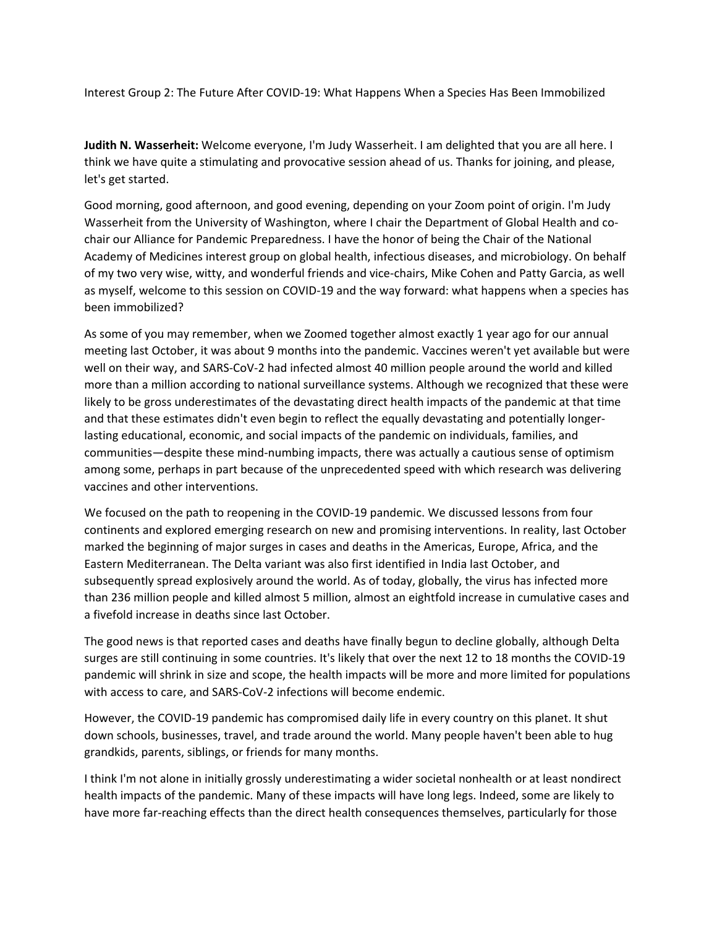Interest Group 2: The Future After COVID‐19: What Happens When a Species Has Been Immobilized

**Judith N. Wasserheit:** Welcome everyone, I'm Judy Wasserheit. I am delighted that you are all here. I think we have quite a stimulating and provocative session ahead of us. Thanks for joining, and please, let's get started.

Good morning, good afternoon, and good evening, depending on your Zoom point of origin. I'm Judy Wasserheit from the University of Washington, where I chair the Department of Global Health and cochair our Alliance for Pandemic Preparedness. I have the honor of being the Chair of the National Academy of Medicines interest group on global health, infectious diseases, and microbiology. On behalf of my two very wise, witty, and wonderful friends and vice‐chairs, Mike Cohen and Patty Garcia, as well as myself, welcome to this session on COVID‐19 and the way forward: what happens when a species has been immobilized?

As some of you may remember, when we Zoomed together almost exactly 1 year ago for our annual meeting last October, it was about 9 months into the pandemic. Vaccines weren't yet available but were well on their way, and SARS-CoV-2 had infected almost 40 million people around the world and killed more than a million according to national surveillance systems. Although we recognized that these were likely to be gross underestimates of the devastating direct health impacts of the pandemic at that time and that these estimates didn't even begin to reflect the equally devastating and potentially longerlasting educational, economic, and social impacts of the pandemic on individuals, families, and communities—despite these mind‐numbing impacts, there was actually a cautious sense of optimism among some, perhaps in part because of the unprecedented speed with which research was delivering vaccines and other interventions.

We focused on the path to reopening in the COVID‐19 pandemic. We discussed lessons from four continents and explored emerging research on new and promising interventions. In reality, last October marked the beginning of major surges in cases and deaths in the Americas, Europe, Africa, and the Eastern Mediterranean. The Delta variant was also first identified in India last October, and subsequently spread explosively around the world. As of today, globally, the virus has infected more than 236 million people and killed almost 5 million, almost an eightfold increase in cumulative cases and a fivefold increase in deaths since last October.

The good news is that reported cases and deaths have finally begun to decline globally, although Delta surges are still continuing in some countries. It's likely that over the next 12 to 18 months the COVID‐19 pandemic will shrink in size and scope, the health impacts will be more and more limited for populations with access to care, and SARS‐CoV‐2 infections will become endemic.

However, the COVID‐19 pandemic has compromised daily life in every country on this planet. It shut down schools, businesses, travel, and trade around the world. Many people haven't been able to hug grandkids, parents, siblings, or friends for many months.

I think I'm not alone in initially grossly underestimating a wider societal nonhealth or at least nondirect health impacts of the pandemic. Many of these impacts will have long legs. Indeed, some are likely to have more far-reaching effects than the direct health consequences themselves, particularly for those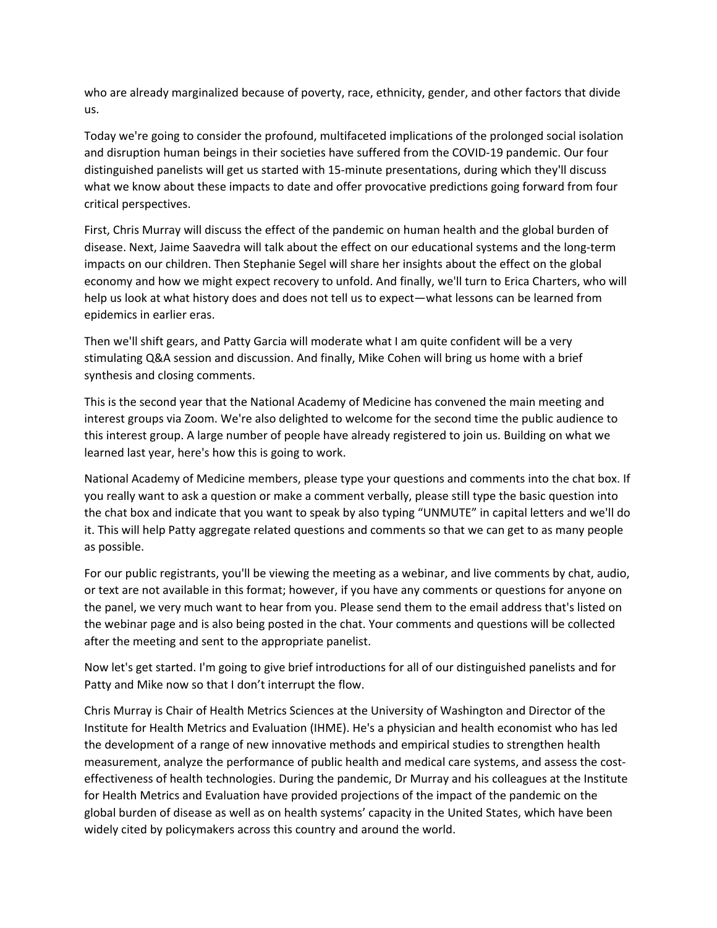who are already marginalized because of poverty, race, ethnicity, gender, and other factors that divide us.

Today we're going to consider the profound, multifaceted implications of the prolonged social isolation and disruption human beings in their societies have suffered from the COVID‐19 pandemic. Our four distinguished panelists will get us started with 15‐minute presentations, during which they'll discuss what we know about these impacts to date and offer provocative predictions going forward from four critical perspectives.

First, Chris Murray will discuss the effect of the pandemic on human health and the global burden of disease. Next, Jaime Saavedra will talk about the effect on our educational systems and the long‐term impacts on our children. Then Stephanie Segel will share her insights about the effect on the global economy and how we might expect recovery to unfold. And finally, we'll turn to Erica Charters, who will help us look at what history does and does not tell us to expect—what lessons can be learned from epidemics in earlier eras.

Then we'll shift gears, and Patty Garcia will moderate what I am quite confident will be a very stimulating Q&A session and discussion. And finally, Mike Cohen will bring us home with a brief synthesis and closing comments.

This is the second year that the National Academy of Medicine has convened the main meeting and interest groups via Zoom. We're also delighted to welcome for the second time the public audience to this interest group. A large number of people have already registered to join us. Building on what we learned last year, here's how this is going to work.

National Academy of Medicine members, please type your questions and comments into the chat box. If you really want to ask a question or make a comment verbally, please still type the basic question into the chat box and indicate that you want to speak by also typing "UNMUTE" in capital letters and we'll do it. This will help Patty aggregate related questions and comments so that we can get to as many people as possible.

For our public registrants, you'll be viewing the meeting as a webinar, and live comments by chat, audio, or text are not available in this format; however, if you have any comments or questions for anyone on the panel, we very much want to hear from you. Please send them to the email address that's listed on the webinar page and is also being posted in the chat. Your comments and questions will be collected after the meeting and sent to the appropriate panelist.

Now let's get started. I'm going to give brief introductions for all of our distinguished panelists and for Patty and Mike now so that I don't interrupt the flow.

Chris Murray is Chair of Health Metrics Sciences at the University of Washington and Director of the Institute for Health Metrics and Evaluation (IHME). He's a physician and health economist who has led the development of a range of new innovative methods and empirical studies to strengthen health measurement, analyze the performance of public health and medical care systems, and assess the costeffectiveness of health technologies. During the pandemic, Dr Murray and his colleagues at the Institute for Health Metrics and Evaluation have provided projections of the impact of the pandemic on the global burden of disease as well as on health systems' capacity in the United States, which have been widely cited by policymakers across this country and around the world.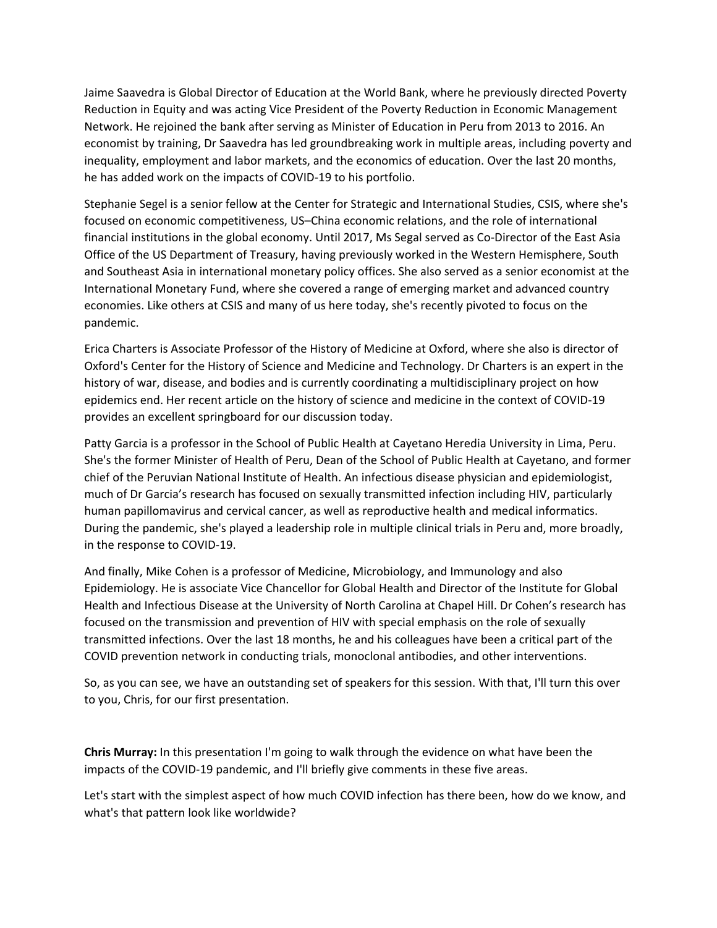Jaime Saavedra is Global Director of Education at the World Bank, where he previously directed Poverty Reduction in Equity and was acting Vice President of the Poverty Reduction in Economic Management Network. He rejoined the bank after serving as Minister of Education in Peru from 2013 to 2016. An economist by training, Dr Saavedra has led groundbreaking work in multiple areas, including poverty and inequality, employment and labor markets, and the economics of education. Over the last 20 months, he has added work on the impacts of COVID‐19 to his portfolio.

Stephanie Segel is a senior fellow at the Center for Strategic and International Studies, CSIS, where she's focused on economic competitiveness, US–China economic relations, and the role of international financial institutions in the global economy. Until 2017, Ms Segal served as Co‐Director of the East Asia Office of the US Department of Treasury, having previously worked in the Western Hemisphere, South and Southeast Asia in international monetary policy offices. She also served as a senior economist at the International Monetary Fund, where she covered a range of emerging market and advanced country economies. Like others at CSIS and many of us here today, she's recently pivoted to focus on the pandemic.

Erica Charters is Associate Professor of the History of Medicine at Oxford, where she also is director of Oxford's Center for the History of Science and Medicine and Technology. Dr Charters is an expert in the history of war, disease, and bodies and is currently coordinating a multidisciplinary project on how epidemics end. Her recent article on the history of science and medicine in the context of COVID‐19 provides an excellent springboard for our discussion today.

Patty Garcia is a professor in the School of Public Health at Cayetano Heredia University in Lima, Peru. She's the former Minister of Health of Peru, Dean of the School of Public Health at Cayetano, and former chief of the Peruvian National Institute of Health. An infectious disease physician and epidemiologist, much of Dr Garcia's research has focused on sexually transmitted infection including HIV, particularly human papillomavirus and cervical cancer, as well as reproductive health and medical informatics. During the pandemic, she's played a leadership role in multiple clinical trials in Peru and, more broadly, in the response to COVID‐19.

And finally, Mike Cohen is a professor of Medicine, Microbiology, and Immunology and also Epidemiology. He is associate Vice Chancellor for Global Health and Director of the Institute for Global Health and Infectious Disease at the University of North Carolina at Chapel Hill. Dr Cohen's research has focused on the transmission and prevention of HIV with special emphasis on the role of sexually transmitted infections. Over the last 18 months, he and his colleagues have been a critical part of the COVID prevention network in conducting trials, monoclonal antibodies, and other interventions.

So, as you can see, we have an outstanding set of speakers for this session. With that, I'll turn this over to you, Chris, for our first presentation.

**Chris Murray:** In this presentation I'm going to walk through the evidence on what have been the impacts of the COVID‐19 pandemic, and I'll briefly give comments in these five areas.

Let's start with the simplest aspect of how much COVID infection has there been, how do we know, and what's that pattern look like worldwide?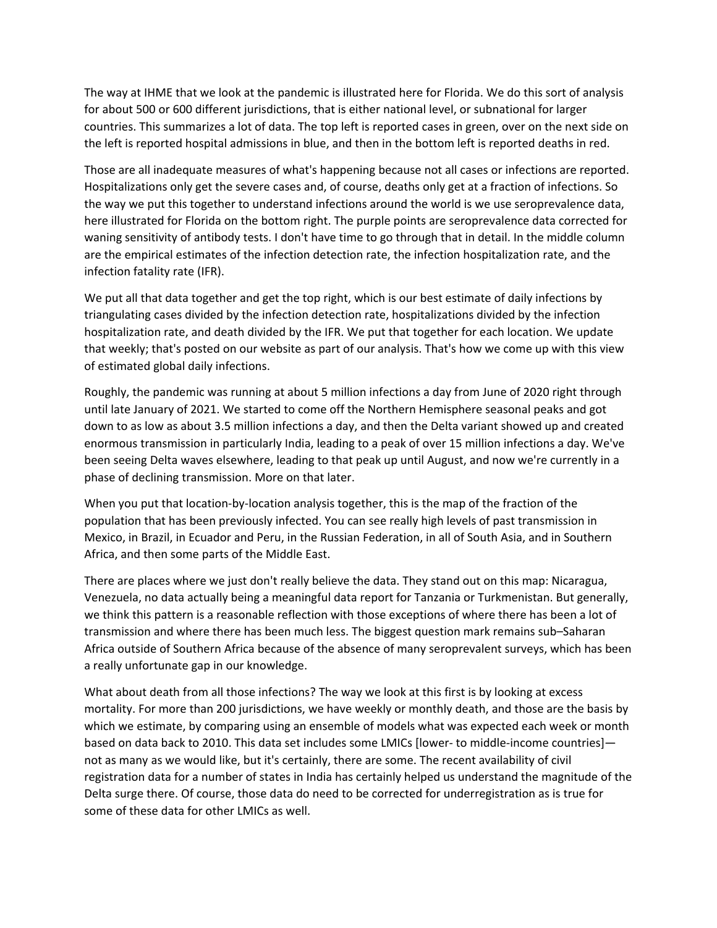The way at IHME that we look at the pandemic is illustrated here for Florida. We do this sort of analysis for about 500 or 600 different jurisdictions, that is either national level, or subnational for larger countries. This summarizes a lot of data. The top left is reported cases in green, over on the next side on the left is reported hospital admissions in blue, and then in the bottom left is reported deaths in red.

Those are all inadequate measures of what's happening because not all cases or infections are reported. Hospitalizations only get the severe cases and, of course, deaths only get at a fraction of infections. So the way we put this together to understand infections around the world is we use seroprevalence data, here illustrated for Florida on the bottom right. The purple points are seroprevalence data corrected for waning sensitivity of antibody tests. I don't have time to go through that in detail. In the middle column are the empirical estimates of the infection detection rate, the infection hospitalization rate, and the infection fatality rate (IFR).

We put all that data together and get the top right, which is our best estimate of daily infections by triangulating cases divided by the infection detection rate, hospitalizations divided by the infection hospitalization rate, and death divided by the IFR. We put that together for each location. We update that weekly; that's posted on our website as part of our analysis. That's how we come up with this view of estimated global daily infections.

Roughly, the pandemic was running at about 5 million infections a day from June of 2020 right through until late January of 2021. We started to come off the Northern Hemisphere seasonal peaks and got down to as low as about 3.5 million infections a day, and then the Delta variant showed up and created enormous transmission in particularly India, leading to a peak of over 15 million infections a day. We've been seeing Delta waves elsewhere, leading to that peak up until August, and now we're currently in a phase of declining transmission. More on that later.

When you put that location-by-location analysis together, this is the map of the fraction of the population that has been previously infected. You can see really high levels of past transmission in Mexico, in Brazil, in Ecuador and Peru, in the Russian Federation, in all of South Asia, and in Southern Africa, and then some parts of the Middle East.

There are places where we just don't really believe the data. They stand out on this map: Nicaragua, Venezuela, no data actually being a meaningful data report for Tanzania or Turkmenistan. But generally, we think this pattern is a reasonable reflection with those exceptions of where there has been a lot of transmission and where there has been much less. The biggest question mark remains sub–Saharan Africa outside of Southern Africa because of the absence of many seroprevalent surveys, which has been a really unfortunate gap in our knowledge.

What about death from all those infections? The way we look at this first is by looking at excess mortality. For more than 200 jurisdictions, we have weekly or monthly death, and those are the basis by which we estimate, by comparing using an ensemble of models what was expected each week or month based on data back to 2010. This data set includes some LMICs [lower- to middle-income countries] not as many as we would like, but it's certainly, there are some. The recent availability of civil registration data for a number of states in India has certainly helped us understand the magnitude of the Delta surge there. Of course, those data do need to be corrected for underregistration as is true for some of these data for other LMICs as well.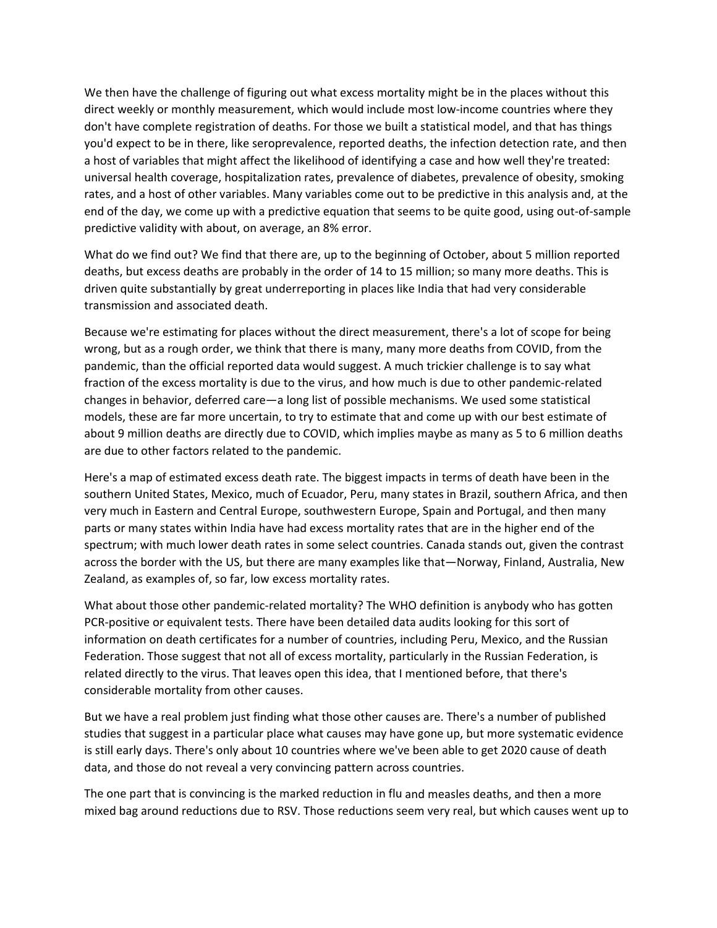We then have the challenge of figuring out what excess mortality might be in the places without this direct weekly or monthly measurement, which would include most low-income countries where they don't have complete registration of deaths. For those we built a statistical model, and that has things you'd expect to be in there, like seroprevalence, reported deaths, the infection detection rate, and then a host of variables that might affect the likelihood of identifying a case and how well they're treated: universal health coverage, hospitalization rates, prevalence of diabetes, prevalence of obesity, smoking rates, and a host of other variables. Many variables come out to be predictive in this analysis and, at the end of the day, we come up with a predictive equation that seems to be quite good, using out‐of‐sample predictive validity with about, on average, an 8% error.

What do we find out? We find that there are, up to the beginning of October, about 5 million reported deaths, but excess deaths are probably in the order of 14 to 15 million; so many more deaths. This is driven quite substantially by great underreporting in places like India that had very considerable transmission and associated death.

Because we're estimating for places without the direct measurement, there's a lot of scope for being wrong, but as a rough order, we think that there is many, many more deaths from COVID, from the pandemic, than the official reported data would suggest. A much trickier challenge is to say what fraction of the excess mortality is due to the virus, and how much is due to other pandemic‐related changes in behavior, deferred care—a long list of possible mechanisms. We used some statistical models, these are far more uncertain, to try to estimate that and come up with our best estimate of about 9 million deaths are directly due to COVID, which implies maybe as many as 5 to 6 million deaths are due to other factors related to the pandemic.

Here's a map of estimated excess death rate. The biggest impacts in terms of death have been in the southern United States, Mexico, much of Ecuador, Peru, many states in Brazil, southern Africa, and then very much in Eastern and Central Europe, southwestern Europe, Spain and Portugal, and then many parts or many states within India have had excess mortality rates that are in the higher end of the spectrum; with much lower death rates in some select countries. Canada stands out, given the contrast across the border with the US, but there are many examples like that—Norway, Finland, Australia, New Zealand, as examples of, so far, low excess mortality rates.

What about those other pandemic-related mortality? The WHO definition is anybody who has gotten PCR‐positive or equivalent tests. There have been detailed data audits looking for this sort of information on death certificates for a number of countries, including Peru, Mexico, and the Russian Federation. Those suggest that not all of excess mortality, particularly in the Russian Federation, is related directly to the virus. That leaves open this idea, that I mentioned before, that there's considerable mortality from other causes.

But we have a real problem just finding what those other causes are. There's a number of published studies that suggest in a particular place what causes may have gone up, but more systematic evidence is still early days. There's only about 10 countries where we've been able to get 2020 cause of death data, and those do not reveal a very convincing pattern across countries.

The one part that is convincing is the marked reduction in flu and measles deaths, and then a more mixed bag around reductions due to RSV. Those reductions seem very real, but which causes went up to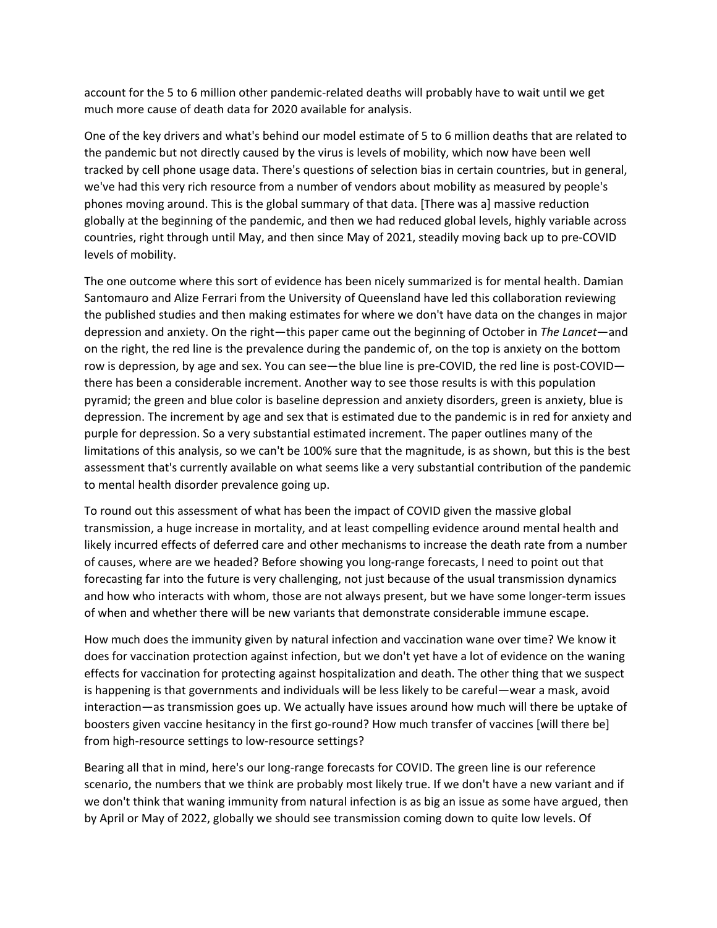account for the 5 to 6 million other pandemic‐related deaths will probably have to wait until we get much more cause of death data for 2020 available for analysis.

One of the key drivers and what's behind our model estimate of 5 to 6 million deaths that are related to the pandemic but not directly caused by the virus is levels of mobility, which now have been well tracked by cell phone usage data. There's questions of selection bias in certain countries, but in general, we've had this very rich resource from a number of vendors about mobility as measured by people's phones moving around. This is the global summary of that data. [There was a] massive reduction globally at the beginning of the pandemic, and then we had reduced global levels, highly variable across countries, right through until May, and then since May of 2021, steadily moving back up to pre‐COVID levels of mobility.

The one outcome where this sort of evidence has been nicely summarized is for mental health. Damian Santomauro and Alize Ferrari from the University of Queensland have led this collaboration reviewing the published studies and then making estimates for where we don't have data on the changes in major depression and anxiety. On the right—this paper came out the beginning of October in *The Lancet*—and on the right, the red line is the prevalence during the pandemic of, on the top is anxiety on the bottom row is depression, by age and sex. You can see—the blue line is pre-COVID, the red line is post-COVID there has been a considerable increment. Another way to see those results is with this population pyramid; the green and blue color is baseline depression and anxiety disorders, green is anxiety, blue is depression. The increment by age and sex that is estimated due to the pandemic is in red for anxiety and purple for depression. So a very substantial estimated increment. The paper outlines many of the limitations of this analysis, so we can't be 100% sure that the magnitude, is as shown, but this is the best assessment that's currently available on what seems like a very substantial contribution of the pandemic to mental health disorder prevalence going up.

To round out this assessment of what has been the impact of COVID given the massive global transmission, a huge increase in mortality, and at least compelling evidence around mental health and likely incurred effects of deferred care and other mechanisms to increase the death rate from a number of causes, where are we headed? Before showing you long‐range forecasts, I need to point out that forecasting far into the future is very challenging, not just because of the usual transmission dynamics and how who interacts with whom, those are not always present, but we have some longer‐term issues of when and whether there will be new variants that demonstrate considerable immune escape.

How much does the immunity given by natural infection and vaccination wane over time? We know it does for vaccination protection against infection, but we don't yet have a lot of evidence on the waning effects for vaccination for protecting against hospitalization and death. The other thing that we suspect is happening is that governments and individuals will be less likely to be careful—wear a mask, avoid interaction—as transmission goes up. We actually have issues around how much will there be uptake of boosters given vaccine hesitancy in the first go-round? How much transfer of vaccines [will there be] from high-resource settings to low-resource settings?

Bearing all that in mind, here's our long-range forecasts for COVID. The green line is our reference scenario, the numbers that we think are probably most likely true. If we don't have a new variant and if we don't think that waning immunity from natural infection is as big an issue as some have argued, then by April or May of 2022, globally we should see transmission coming down to quite low levels. Of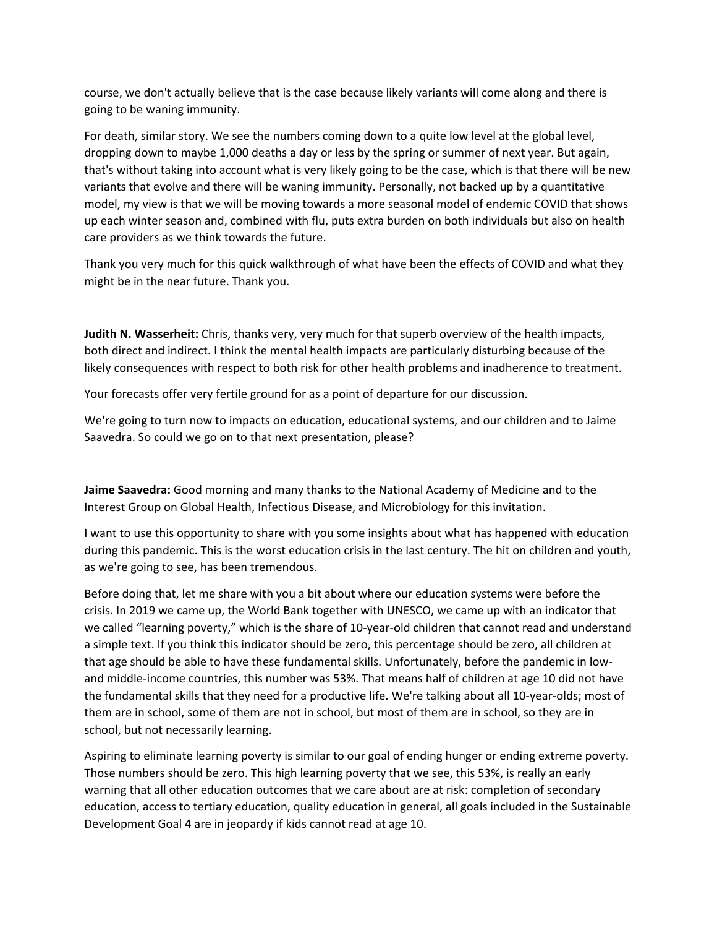course, we don't actually believe that is the case because likely variants will come along and there is going to be waning immunity.

For death, similar story. We see the numbers coming down to a quite low level at the global level, dropping down to maybe 1,000 deaths a day or less by the spring or summer of next year. But again, that's without taking into account what is very likely going to be the case, which is that there will be new variants that evolve and there will be waning immunity. Personally, not backed up by a quantitative model, my view is that we will be moving towards a more seasonal model of endemic COVID that shows up each winter season and, combined with flu, puts extra burden on both individuals but also on health care providers as we think towards the future.

Thank you very much for this quick walkthrough of what have been the effects of COVID and what they might be in the near future. Thank you.

**Judith N. Wasserheit:** Chris, thanks very, very much for that superb overview of the health impacts, both direct and indirect. I think the mental health impacts are particularly disturbing because of the likely consequences with respect to both risk for other health problems and inadherence to treatment.

Your forecasts offer very fertile ground for as a point of departure for our discussion.

We're going to turn now to impacts on education, educational systems, and our children and to Jaime Saavedra. So could we go on to that next presentation, please?

**Jaime Saavedra:** Good morning and many thanks to the National Academy of Medicine and to the Interest Group on Global Health, Infectious Disease, and Microbiology for this invitation.

I want to use this opportunity to share with you some insights about what has happened with education during this pandemic. This is the worst education crisis in the last century. The hit on children and youth, as we're going to see, has been tremendous.

Before doing that, let me share with you a bit about where our education systems were before the crisis. In 2019 we came up, the World Bank together with UNESCO, we came up with an indicator that we called "learning poverty," which is the share of 10-year-old children that cannot read and understand a simple text. If you think this indicator should be zero, this percentage should be zero, all children at that age should be able to have these fundamental skills. Unfortunately, before the pandemic in low‐ and middle‐income countries, this number was 53%. That means half of children at age 10 did not have the fundamental skills that they need for a productive life. We're talking about all 10‐year‐olds; most of them are in school, some of them are not in school, but most of them are in school, so they are in school, but not necessarily learning.

Aspiring to eliminate learning poverty is similar to our goal of ending hunger or ending extreme poverty. Those numbers should be zero. This high learning poverty that we see, this 53%, is really an early warning that all other education outcomes that we care about are at risk: completion of secondary education, access to tertiary education, quality education in general, all goals included in the Sustainable Development Goal 4 are in jeopardy if kids cannot read at age 10.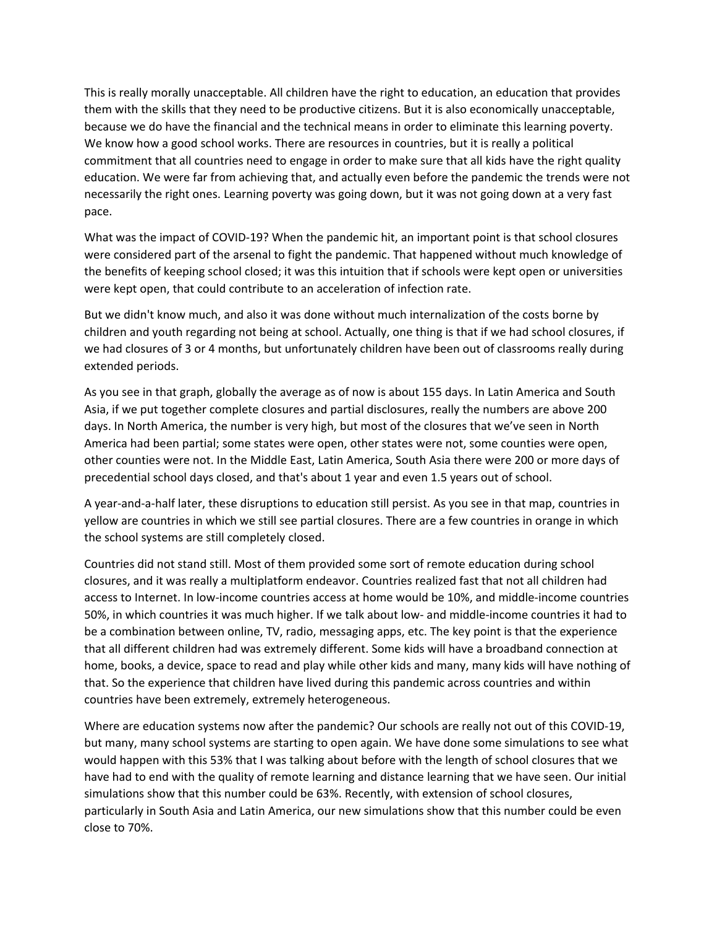This is really morally unacceptable. All children have the right to education, an education that provides them with the skills that they need to be productive citizens. But it is also economically unacceptable, because we do have the financial and the technical means in order to eliminate this learning poverty. We know how a good school works. There are resources in countries, but it is really a political commitment that all countries need to engage in order to make sure that all kids have the right quality education. We were far from achieving that, and actually even before the pandemic the trends were not necessarily the right ones. Learning poverty was going down, but it was not going down at a very fast pace.

What was the impact of COVID-19? When the pandemic hit, an important point is that school closures were considered part of the arsenal to fight the pandemic. That happened without much knowledge of the benefits of keeping school closed; it was this intuition that if schools were kept open or universities were kept open, that could contribute to an acceleration of infection rate.

But we didn't know much, and also it was done without much internalization of the costs borne by children and youth regarding not being at school. Actually, one thing is that if we had school closures, if we had closures of 3 or 4 months, but unfortunately children have been out of classrooms really during extended periods.

As you see in that graph, globally the average as of now is about 155 days. In Latin America and South Asia, if we put together complete closures and partial disclosures, really the numbers are above 200 days. In North America, the number is very high, but most of the closures that we've seen in North America had been partial; some states were open, other states were not, some counties were open, other counties were not. In the Middle East, Latin America, South Asia there were 200 or more days of precedential school days closed, and that's about 1 year and even 1.5 years out of school.

A year‐and‐a‐half later, these disruptions to education still persist. As you see in that map, countries in yellow are countries in which we still see partial closures. There are a few countries in orange in which the school systems are still completely closed.

Countries did not stand still. Most of them provided some sort of remote education during school closures, and it was really a multiplatform endeavor. Countries realized fast that not all children had access to Internet. In low‐income countries access at home would be 10%, and middle‐income countries 50%, in which countries it was much higher. If we talk about low‐ and middle‐income countries it had to be a combination between online, TV, radio, messaging apps, etc. The key point is that the experience that all different children had was extremely different. Some kids will have a broadband connection at home, books, a device, space to read and play while other kids and many, many kids will have nothing of that. So the experience that children have lived during this pandemic across countries and within countries have been extremely, extremely heterogeneous.

Where are education systems now after the pandemic? Our schools are really not out of this COVID-19, but many, many school systems are starting to open again. We have done some simulations to see what would happen with this 53% that I was talking about before with the length of school closures that we have had to end with the quality of remote learning and distance learning that we have seen. Our initial simulations show that this number could be 63%. Recently, with extension of school closures, particularly in South Asia and Latin America, our new simulations show that this number could be even close to 70%.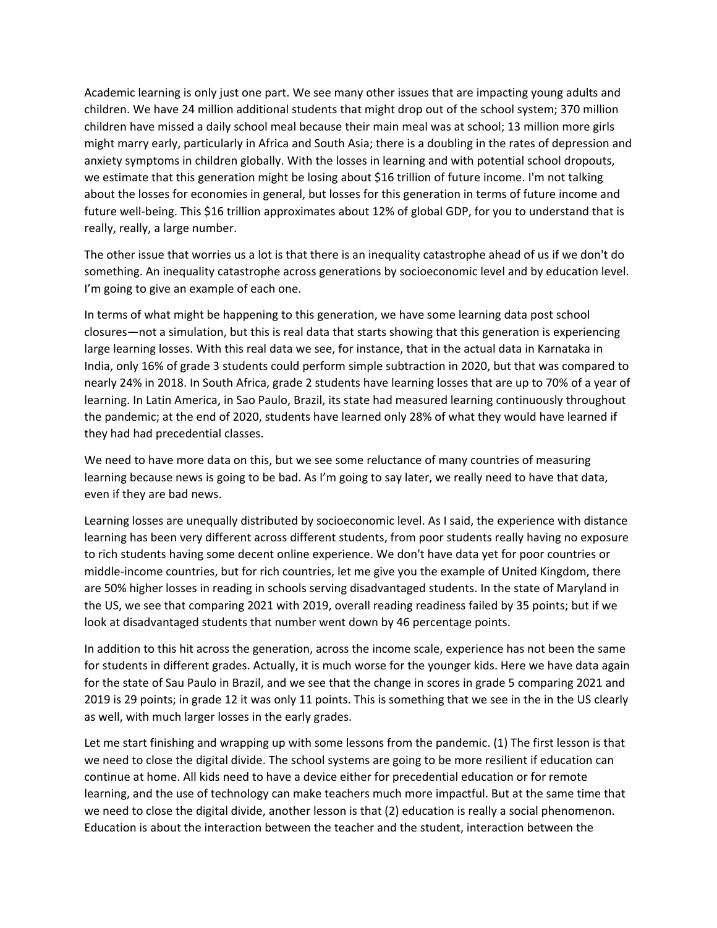Academic learning is only just one part. We see many other issues that are impacting young adults and children. We have 24 million additional students that might drop out of the school system; 370 million children have missed a daily school meal because their main meal was at school; 13 million more girls might marry early, particularly in Africa and South Asia; there is a doubling in the rates of depression and anxiety symptoms in children globally. With the losses in learning and with potential school dropouts, we estimate that this generation might be losing about \$16 trillion of future income. I'm not talking about the losses for economies in general, but losses for this generation in terms of future income and future well-being. This \$16 trillion approximates about 12% of global GDP, for you to understand that is really, really, a large number.

The other issue that worries us a lot is that there is an inequality catastrophe ahead of us if we don't do something. An inequality catastrophe across generations by socioeconomic level and by education level. I'm going to give an example of each one.

In terms of what might be happening to this generation, we have some learning data post school closures—not a simulation, but this is real data that starts showing that this generation is experiencing large learning losses. With this real data we see, for instance, that in the actual data in Karnataka in India, only 16% of grade 3 students could perform simple subtraction in 2020, but that was compared to nearly 24% in 2018. In South Africa, grade 2 students have learning losses that are up to 70% of a year of learning. In Latin America, in Sao Paulo, Brazil, its state had measured learning continuously throughout the pandemic; at the end of 2020, students have learned only 28% of what they would have learned if they had had precedential classes.

We need to have more data on this, but we see some reluctance of many countries of measuring learning because news is going to be bad. As I'm going to say later, we really need to have that data, even if they are bad news.

Learning losses are unequally distributed by socioeconomic level. As I said, the experience with distance learning has been very different across different students, from poor students really having no exposure to rich students having some decent online experience. We don't have data yet for poor countries or middle‐income countries, but for rich countries, let me give you the example of United Kingdom, there are 50% higher losses in reading in schools serving disadvantaged students. In the state of Maryland in the US, we see that comparing 2021 with 2019, overall reading readiness failed by 35 points; but if we look at disadvantaged students that number went down by 46 percentage points.

In addition to this hit across the generation, across the income scale, experience has not been the same for students in different grades. Actually, it is much worse for the younger kids. Here we have data again for the state of Sau Paulo in Brazil, and we see that the change in scores in grade 5 comparing 2021 and 2019 is 29 points; in grade 12 it was only 11 points. This is something that we see in the in the US clearly as well, with much larger losses in the early grades.

Let me start finishing and wrapping up with some lessons from the pandemic. (1) The first lesson is that we need to close the digital divide. The school systems are going to be more resilient if education can continue at home. All kids need to have a device either for precedential education or for remote learning, and the use of technology can make teachers much more impactful. But at the same time that we need to close the digital divide, another lesson is that (2) education is really a social phenomenon. Education is about the interaction between the teacher and the student, interaction between the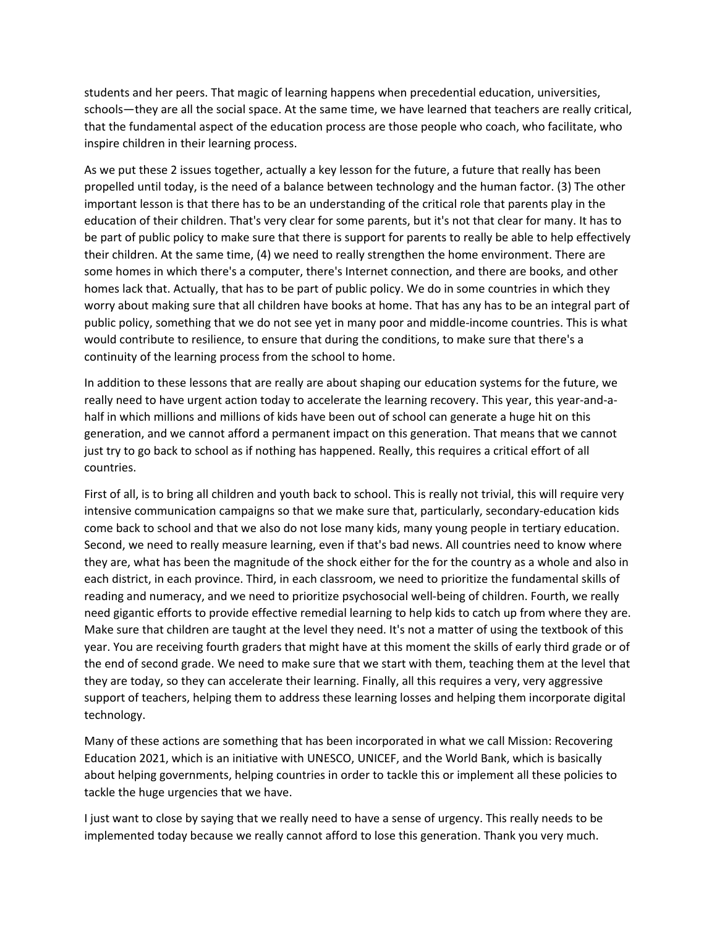students and her peers. That magic of learning happens when precedential education, universities, schools—they are all the social space. At the same time, we have learned that teachers are really critical, that the fundamental aspect of the education process are those people who coach, who facilitate, who inspire children in their learning process.

As we put these 2 issues together, actually a key lesson for the future, a future that really has been propelled until today, is the need of a balance between technology and the human factor. (3) The other important lesson is that there has to be an understanding of the critical role that parents play in the education of their children. That's very clear for some parents, but it's not that clear for many. It has to be part of public policy to make sure that there is support for parents to really be able to help effectively their children. At the same time, (4) we need to really strengthen the home environment. There are some homes in which there's a computer, there's Internet connection, and there are books, and other homes lack that. Actually, that has to be part of public policy. We do in some countries in which they worry about making sure that all children have books at home. That has any has to be an integral part of public policy, something that we do not see yet in many poor and middle‐income countries. This is what would contribute to resilience, to ensure that during the conditions, to make sure that there's a continuity of the learning process from the school to home.

In addition to these lessons that are really are about shaping our education systems for the future, we really need to have urgent action today to accelerate the learning recovery. This year, this year-and-ahalf in which millions and millions of kids have been out of school can generate a huge hit on this generation, and we cannot afford a permanent impact on this generation. That means that we cannot just try to go back to school as if nothing has happened. Really, this requires a critical effort of all countries.

First of all, is to bring all children and youth back to school. This is really not trivial, this will require very intensive communication campaigns so that we make sure that, particularly, secondary-education kids come back to school and that we also do not lose many kids, many young people in tertiary education. Second, we need to really measure learning, even if that's bad news. All countries need to know where they are, what has been the magnitude of the shock either for the for the country as a whole and also in each district, in each province. Third, in each classroom, we need to prioritize the fundamental skills of reading and numeracy, and we need to prioritize psychosocial well‐being of children. Fourth, we really need gigantic efforts to provide effective remedial learning to help kids to catch up from where they are. Make sure that children are taught at the level they need. It's not a matter of using the textbook of this year. You are receiving fourth graders that might have at this moment the skills of early third grade or of the end of second grade. We need to make sure that we start with them, teaching them at the level that they are today, so they can accelerate their learning. Finally, all this requires a very, very aggressive support of teachers, helping them to address these learning losses and helping them incorporate digital technology.

Many of these actions are something that has been incorporated in what we call Mission: Recovering Education 2021, which is an initiative with UNESCO, UNICEF, and the World Bank, which is basically about helping governments, helping countries in order to tackle this or implement all these policies to tackle the huge urgencies that we have.

I just want to close by saying that we really need to have a sense of urgency. This really needs to be implemented today because we really cannot afford to lose this generation. Thank you very much.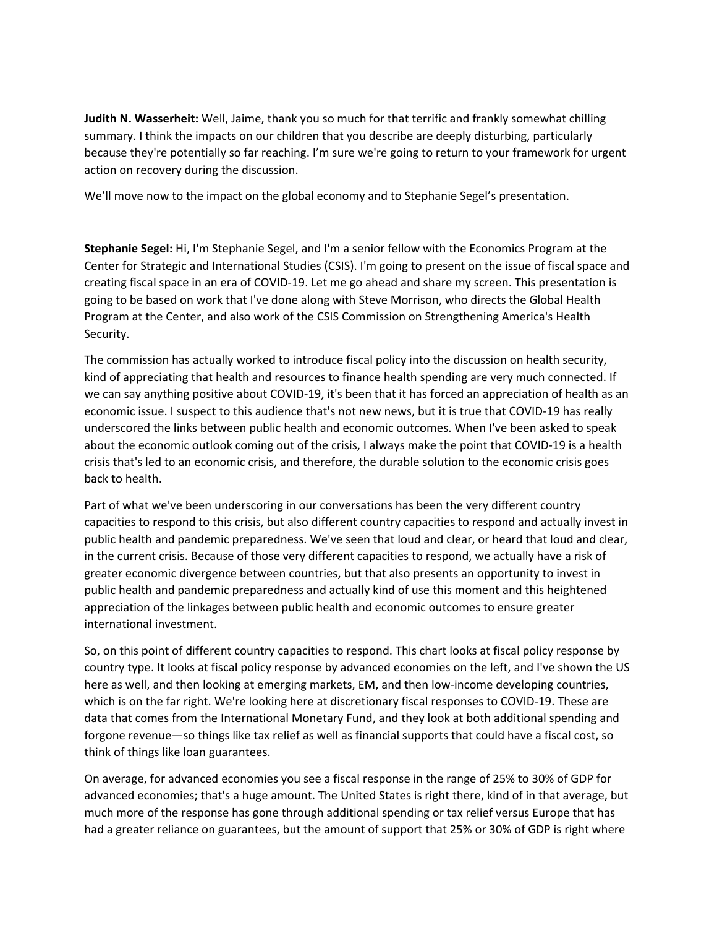**Judith N. Wasserheit:** Well, Jaime, thank you so much for that terrific and frankly somewhat chilling summary. I think the impacts on our children that you describe are deeply disturbing, particularly because they're potentially so far reaching. I'm sure we're going to return to your framework for urgent action on recovery during the discussion.

We'll move now to the impact on the global economy and to Stephanie Segel's presentation.

**Stephanie Segel:** Hi, I'm Stephanie Segel, and I'm a senior fellow with the Economics Program at the Center for Strategic and International Studies (CSIS). I'm going to present on the issue of fiscal space and creating fiscal space in an era of COVID‐19. Let me go ahead and share my screen. This presentation is going to be based on work that I've done along with Steve Morrison, who directs the Global Health Program at the Center, and also work of the CSIS Commission on Strengthening America's Health Security.

The commission has actually worked to introduce fiscal policy into the discussion on health security, kind of appreciating that health and resources to finance health spending are very much connected. If we can say anything positive about COVID‐19, it's been that it has forced an appreciation of health as an economic issue. I suspect to this audience that's not new news, but it is true that COVID‐19 has really underscored the links between public health and economic outcomes. When I've been asked to speak about the economic outlook coming out of the crisis, I always make the point that COVID‐19 is a health crisis that's led to an economic crisis, and therefore, the durable solution to the economic crisis goes back to health.

Part of what we've been underscoring in our conversations has been the very different country capacities to respond to this crisis, but also different country capacities to respond and actually invest in public health and pandemic preparedness. We've seen that loud and clear, or heard that loud and clear, in the current crisis. Because of those very different capacities to respond, we actually have a risk of greater economic divergence between countries, but that also presents an opportunity to invest in public health and pandemic preparedness and actually kind of use this moment and this heightened appreciation of the linkages between public health and economic outcomes to ensure greater international investment.

So, on this point of different country capacities to respond. This chart looks at fiscal policy response by country type. It looks at fiscal policy response by advanced economies on the left, and I've shown the US here as well, and then looking at emerging markets, EM, and then low-income developing countries, which is on the far right. We're looking here at discretionary fiscal responses to COVID-19. These are data that comes from the International Monetary Fund, and they look at both additional spending and forgone revenue—so things like tax relief as well as financial supports that could have a fiscal cost, so think of things like loan guarantees.

On average, for advanced economies you see a fiscal response in the range of 25% to 30% of GDP for advanced economies; that's a huge amount. The United States is right there, kind of in that average, but much more of the response has gone through additional spending or tax relief versus Europe that has had a greater reliance on guarantees, but the amount of support that 25% or 30% of GDP is right where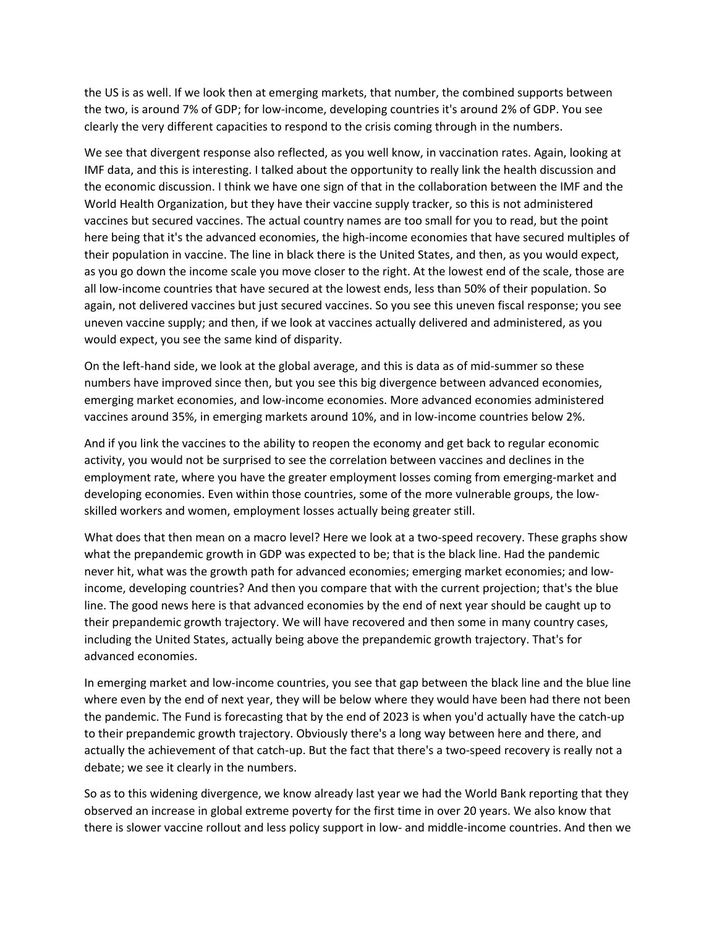the US is as well. If we look then at emerging markets, that number, the combined supports between the two, is around 7% of GDP; for low‐income, developing countries it's around 2% of GDP. You see clearly the very different capacities to respond to the crisis coming through in the numbers.

We see that divergent response also reflected, as you well know, in vaccination rates. Again, looking at IMF data, and this is interesting. I talked about the opportunity to really link the health discussion and the economic discussion. I think we have one sign of that in the collaboration between the IMF and the World Health Organization, but they have their vaccine supply tracker, so this is not administered vaccines but secured vaccines. The actual country names are too small for you to read, but the point here being that it's the advanced economies, the high-income economies that have secured multiples of their population in vaccine. The line in black there is the United States, and then, as you would expect, as you go down the income scale you move closer to the right. At the lowest end of the scale, those are all low-income countries that have secured at the lowest ends, less than 50% of their population. So again, not delivered vaccines but just secured vaccines. So you see this uneven fiscal response; you see uneven vaccine supply; and then, if we look at vaccines actually delivered and administered, as you would expect, you see the same kind of disparity.

On the left-hand side, we look at the global average, and this is data as of mid-summer so these numbers have improved since then, but you see this big divergence between advanced economies, emerging market economies, and low‐income economies. More advanced economies administered vaccines around 35%, in emerging markets around 10%, and in low‐income countries below 2%.

And if you link the vaccines to the ability to reopen the economy and get back to regular economic activity, you would not be surprised to see the correlation between vaccines and declines in the employment rate, where you have the greater employment losses coming from emerging-market and developing economies. Even within those countries, some of the more vulnerable groups, the low‐ skilled workers and women, employment losses actually being greater still.

What does that then mean on a macro level? Here we look at a two-speed recovery. These graphs show what the prepandemic growth in GDP was expected to be; that is the black line. Had the pandemic never hit, what was the growth path for advanced economies; emerging market economies; and low‐ income, developing countries? And then you compare that with the current projection; that's the blue line. The good news here is that advanced economies by the end of next year should be caught up to their prepandemic growth trajectory. We will have recovered and then some in many country cases, including the United States, actually being above the prepandemic growth trajectory. That's for advanced economies.

In emerging market and low‐income countries, you see that gap between the black line and the blue line where even by the end of next year, they will be below where they would have been had there not been the pandemic. The Fund is forecasting that by the end of 2023 is when you'd actually have the catch‐up to their prepandemic growth trajectory. Obviously there's a long way between here and there, and actually the achievement of that catch‐up. But the fact that there's a two‐speed recovery is really not a debate; we see it clearly in the numbers.

So as to this widening divergence, we know already last year we had the World Bank reporting that they observed an increase in global extreme poverty for the first time in over 20 years. We also know that there is slower vaccine rollout and less policy support in low‐ and middle‐income countries. And then we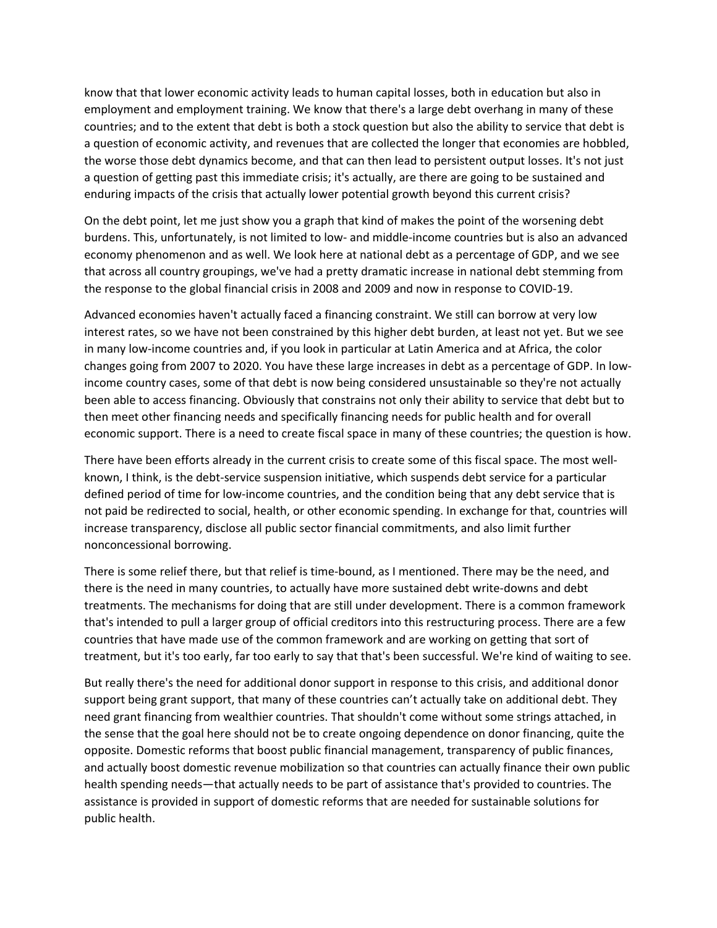know that that lower economic activity leads to human capital losses, both in education but also in employment and employment training. We know that there's a large debt overhang in many of these countries; and to the extent that debt is both a stock question but also the ability to service that debt is a question of economic activity, and revenues that are collected the longer that economies are hobbled, the worse those debt dynamics become, and that can then lead to persistent output losses. It's not just a question of getting past this immediate crisis; it's actually, are there are going to be sustained and enduring impacts of the crisis that actually lower potential growth beyond this current crisis?

On the debt point, let me just show you a graph that kind of makes the point of the worsening debt burdens. This, unfortunately, is not limited to low‐ and middle‐income countries but is also an advanced economy phenomenon and as well. We look here at national debt as a percentage of GDP, and we see that across all country groupings, we've had a pretty dramatic increase in national debt stemming from the response to the global financial crisis in 2008 and 2009 and now in response to COVID‐19.

Advanced economies haven't actually faced a financing constraint. We still can borrow at very low interest rates, so we have not been constrained by this higher debt burden, at least not yet. But we see in many low‐income countries and, if you look in particular at Latin America and at Africa, the color changes going from 2007 to 2020. You have these large increases in debt as a percentage of GDP. In low‐ income country cases, some of that debt is now being considered unsustainable so they're not actually been able to access financing. Obviously that constrains not only their ability to service that debt but to then meet other financing needs and specifically financing needs for public health and for overall economic support. There is a need to create fiscal space in many of these countries; the question is how.

There have been efforts already in the current crisis to create some of this fiscal space. The most well‐ known, I think, is the debt-service suspension initiative, which suspends debt service for a particular defined period of time for low-income countries, and the condition being that any debt service that is not paid be redirected to social, health, or other economic spending. In exchange for that, countries will increase transparency, disclose all public sector financial commitments, and also limit further nonconcessional borrowing.

There is some relief there, but that relief is time‐bound, as I mentioned. There may be the need, and there is the need in many countries, to actually have more sustained debt write‐downs and debt treatments. The mechanisms for doing that are still under development. There is a common framework that's intended to pull a larger group of official creditors into this restructuring process. There are a few countries that have made use of the common framework and are working on getting that sort of treatment, but it's too early, far too early to say that that's been successful. We're kind of waiting to see.

But really there's the need for additional donor support in response to this crisis, and additional donor support being grant support, that many of these countries can't actually take on additional debt. They need grant financing from wealthier countries. That shouldn't come without some strings attached, in the sense that the goal here should not be to create ongoing dependence on donor financing, quite the opposite. Domestic reforms that boost public financial management, transparency of public finances, and actually boost domestic revenue mobilization so that countries can actually finance their own public health spending needs—that actually needs to be part of assistance that's provided to countries. The assistance is provided in support of domestic reforms that are needed for sustainable solutions for public health.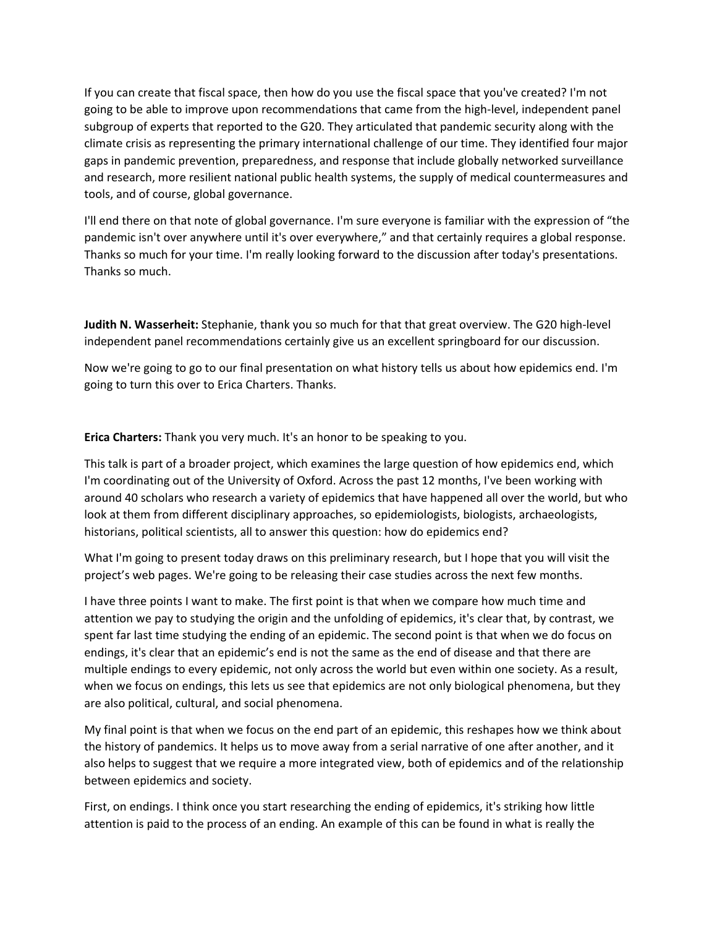If you can create that fiscal space, then how do you use the fiscal space that you've created? I'm not going to be able to improve upon recommendations that came from the high‐level, independent panel subgroup of experts that reported to the G20. They articulated that pandemic security along with the climate crisis as representing the primary international challenge of our time. They identified four major gaps in pandemic prevention, preparedness, and response that include globally networked surveillance and research, more resilient national public health systems, the supply of medical countermeasures and tools, and of course, global governance.

I'll end there on that note of global governance. I'm sure everyone is familiar with the expression of "the pandemic isn't over anywhere until it's over everywhere," and that certainly requires a global response. Thanks so much for your time. I'm really looking forward to the discussion after today's presentations. Thanks so much.

**Judith N. Wasserheit:** Stephanie, thank you so much for that that great overview. The G20 high‐level independent panel recommendations certainly give us an excellent springboard for our discussion.

Now we're going to go to our final presentation on what history tells us about how epidemics end. I'm going to turn this over to Erica Charters. Thanks.

**Erica Charters:** Thank you very much. It's an honor to be speaking to you.

This talk is part of a broader project, which examines the large question of how epidemics end, which I'm coordinating out of the University of Oxford. Across the past 12 months, I've been working with around 40 scholars who research a variety of epidemics that have happened all over the world, but who look at them from different disciplinary approaches, so epidemiologists, biologists, archaeologists, historians, political scientists, all to answer this question: how do epidemics end?

What I'm going to present today draws on this preliminary research, but I hope that you will visit the project's web pages. We're going to be releasing their case studies across the next few months.

I have three points I want to make. The first point is that when we compare how much time and attention we pay to studying the origin and the unfolding of epidemics, it's clear that, by contrast, we spent far last time studying the ending of an epidemic. The second point is that when we do focus on endings, it's clear that an epidemic's end is not the same as the end of disease and that there are multiple endings to every epidemic, not only across the world but even within one society. As a result, when we focus on endings, this lets us see that epidemics are not only biological phenomena, but they are also political, cultural, and social phenomena.

My final point is that when we focus on the end part of an epidemic, this reshapes how we think about the history of pandemics. It helps us to move away from a serial narrative of one after another, and it also helps to suggest that we require a more integrated view, both of epidemics and of the relationship between epidemics and society.

First, on endings. I think once you start researching the ending of epidemics, it's striking how little attention is paid to the process of an ending. An example of this can be found in what is really the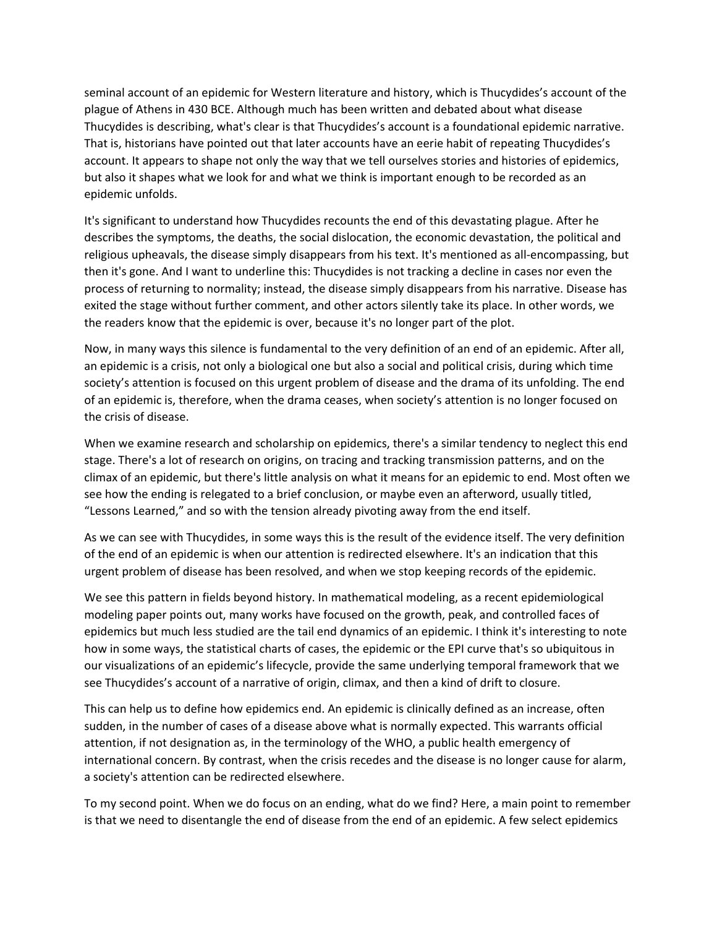seminal account of an epidemic for Western literature and history, which is Thucydides's account of the plague of Athens in 430 BCE. Although much has been written and debated about what disease Thucydides is describing, what's clear is that Thucydides's account is a foundational epidemic narrative. That is, historians have pointed out that later accounts have an eerie habit of repeating Thucydides's account. It appears to shape not only the way that we tell ourselves stories and histories of epidemics, but also it shapes what we look for and what we think is important enough to be recorded as an epidemic unfolds.

It's significant to understand how Thucydides recounts the end of this devastating plague. After he describes the symptoms, the deaths, the social dislocation, the economic devastation, the political and religious upheavals, the disease simply disappears from his text. It's mentioned as all‐encompassing, but then it's gone. And I want to underline this: Thucydides is not tracking a decline in cases nor even the process of returning to normality; instead, the disease simply disappears from his narrative. Disease has exited the stage without further comment, and other actors silently take its place. In other words, we the readers know that the epidemic is over, because it's no longer part of the plot.

Now, in many ways this silence is fundamental to the very definition of an end of an epidemic. After all, an epidemic is a crisis, not only a biological one but also a social and political crisis, during which time society's attention is focused on this urgent problem of disease and the drama of its unfolding. The end of an epidemic is, therefore, when the drama ceases, when society's attention is no longer focused on the crisis of disease.

When we examine research and scholarship on epidemics, there's a similar tendency to neglect this end stage. There's a lot of research on origins, on tracing and tracking transmission patterns, and on the climax of an epidemic, but there's little analysis on what it means for an epidemic to end. Most often we see how the ending is relegated to a brief conclusion, or maybe even an afterword, usually titled, "Lessons Learned," and so with the tension already pivoting away from the end itself.

As we can see with Thucydides, in some ways this is the result of the evidence itself. The very definition of the end of an epidemic is when our attention is redirected elsewhere. It's an indication that this urgent problem of disease has been resolved, and when we stop keeping records of the epidemic.

We see this pattern in fields beyond history. In mathematical modeling, as a recent epidemiological modeling paper points out, many works have focused on the growth, peak, and controlled faces of epidemics but much less studied are the tail end dynamics of an epidemic. I think it's interesting to note how in some ways, the statistical charts of cases, the epidemic or the EPI curve that's so ubiquitous in our visualizations of an epidemic's lifecycle, provide the same underlying temporal framework that we see Thucydides's account of a narrative of origin, climax, and then a kind of drift to closure.

This can help us to define how epidemics end. An epidemic is clinically defined as an increase, often sudden, in the number of cases of a disease above what is normally expected. This warrants official attention, if not designation as, in the terminology of the WHO, a public health emergency of international concern. By contrast, when the crisis recedes and the disease is no longer cause for alarm, a society's attention can be redirected elsewhere.

To my second point. When we do focus on an ending, what do we find? Here, a main point to remember is that we need to disentangle the end of disease from the end of an epidemic. A few select epidemics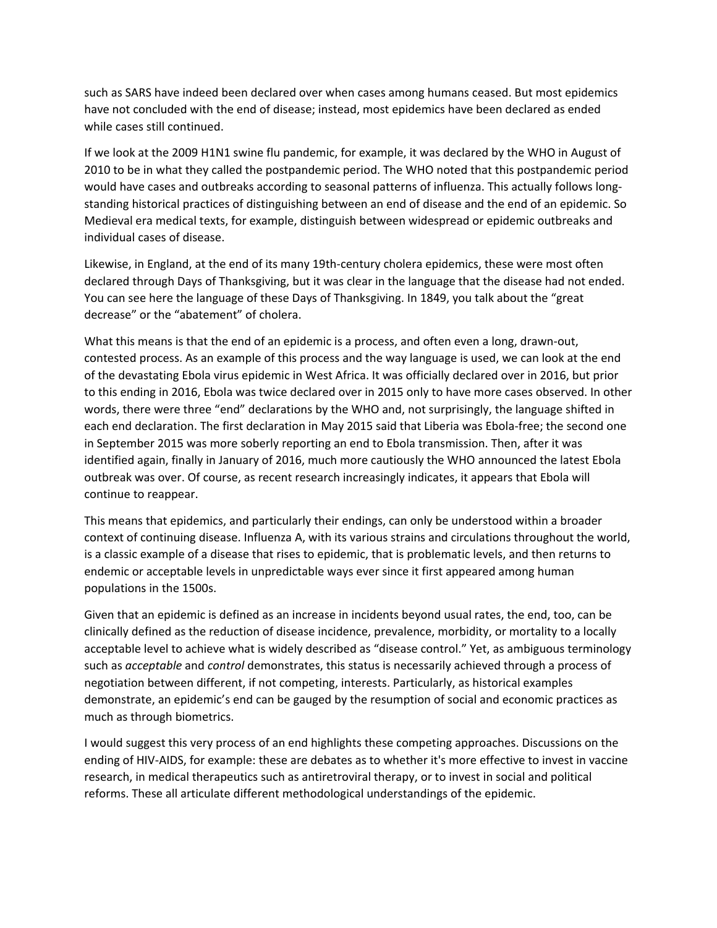such as SARS have indeed been declared over when cases among humans ceased. But most epidemics have not concluded with the end of disease; instead, most epidemics have been declared as ended while cases still continued.

If we look at the 2009 H1N1 swine flu pandemic, for example, it was declared by the WHO in August of 2010 to be in what they called the postpandemic period. The WHO noted that this postpandemic period would have cases and outbreaks according to seasonal patterns of influenza. This actually follows long‐ standing historical practices of distinguishing between an end of disease and the end of an epidemic. So Medieval era medical texts, for example, distinguish between widespread or epidemic outbreaks and individual cases of disease.

Likewise, in England, at the end of its many 19th‐century cholera epidemics, these were most often declared through Days of Thanksgiving, but it was clear in the language that the disease had not ended. You can see here the language of these Days of Thanksgiving. In 1849, you talk about the "great decrease" or the "abatement" of cholera.

What this means is that the end of an epidemic is a process, and often even a long, drawn-out, contested process. As an example of this process and the way language is used, we can look at the end of the devastating Ebola virus epidemic in West Africa. It was officially declared over in 2016, but prior to this ending in 2016, Ebola was twice declared over in 2015 only to have more cases observed. In other words, there were three "end" declarations by the WHO and, not surprisingly, the language shifted in each end declaration. The first declaration in May 2015 said that Liberia was Ebola-free; the second one in September 2015 was more soberly reporting an end to Ebola transmission. Then, after it was identified again, finally in January of 2016, much more cautiously the WHO announced the latest Ebola outbreak was over. Of course, as recent research increasingly indicates, it appears that Ebola will continue to reappear.

This means that epidemics, and particularly their endings, can only be understood within a broader context of continuing disease. Influenza A, with its various strains and circulations throughout the world, is a classic example of a disease that rises to epidemic, that is problematic levels, and then returns to endemic or acceptable levels in unpredictable ways ever since it first appeared among human populations in the 1500s.

Given that an epidemic is defined as an increase in incidents beyond usual rates, the end, too, can be clinically defined as the reduction of disease incidence, prevalence, morbidity, or mortality to a locally acceptable level to achieve what is widely described as "disease control." Yet, as ambiguous terminology such as *acceptable* and *control* demonstrates, this status is necessarily achieved through a process of negotiation between different, if not competing, interests. Particularly, as historical examples demonstrate, an epidemic's end can be gauged by the resumption of social and economic practices as much as through biometrics.

I would suggest this very process of an end highlights these competing approaches. Discussions on the ending of HIV‐AIDS, for example: these are debates as to whether it's more effective to invest in vaccine research, in medical therapeutics such as antiretroviral therapy, or to invest in social and political reforms. These all articulate different methodological understandings of the epidemic.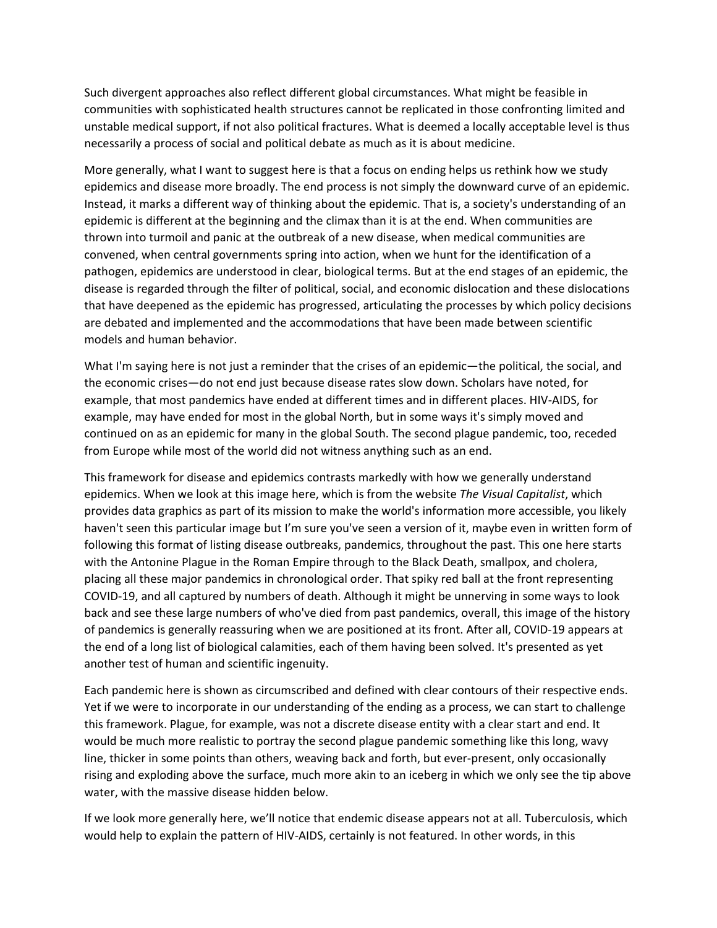Such divergent approaches also reflect different global circumstances. What might be feasible in communities with sophisticated health structures cannot be replicated in those confronting limited and unstable medical support, if not also political fractures. What is deemed a locally acceptable level is thus necessarily a process of social and political debate as much as it is about medicine.

More generally, what I want to suggest here is that a focus on ending helps us rethink how we study epidemics and disease more broadly. The end process is not simply the downward curve of an epidemic. Instead, it marks a different way of thinking about the epidemic. That is, a society's understanding of an epidemic is different at the beginning and the climax than it is at the end. When communities are thrown into turmoil and panic at the outbreak of a new disease, when medical communities are convened, when central governments spring into action, when we hunt for the identification of a pathogen, epidemics are understood in clear, biological terms. But at the end stages of an epidemic, the disease is regarded through the filter of political, social, and economic dislocation and these dislocations that have deepened as the epidemic has progressed, articulating the processes by which policy decisions are debated and implemented and the accommodations that have been made between scientific models and human behavior.

What I'm saying here is not just a reminder that the crises of an epidemic—the political, the social, and the economic crises—do not end just because disease rates slow down. Scholars have noted, for example, that most pandemics have ended at different times and in different places. HIV‐AIDS, for example, may have ended for most in the global North, but in some ways it's simply moved and continued on as an epidemic for many in the global South. The second plague pandemic, too, receded from Europe while most of the world did not witness anything such as an end.

This framework for disease and epidemics contrasts markedly with how we generally understand epidemics. When we look at this image here, which is from the website *The Visual Capitalist*, which provides data graphics as part of its mission to make the world's information more accessible, you likely haven't seen this particular image but I'm sure you've seen a version of it, maybe even in written form of following this format of listing disease outbreaks, pandemics, throughout the past. This one here starts with the Antonine Plague in the Roman Empire through to the Black Death, smallpox, and cholera, placing all these major pandemics in chronological order. That spiky red ball at the front representing COVID‐19, and all captured by numbers of death. Although it might be unnerving in some ways to look back and see these large numbers of who've died from past pandemics, overall, this image of the history of pandemics is generally reassuring when we are positioned at its front. After all, COVID‐19 appears at the end of a long list of biological calamities, each of them having been solved. It's presented as yet another test of human and scientific ingenuity.

Each pandemic here is shown as circumscribed and defined with clear contours of their respective ends. Yet if we were to incorporate in our understanding of the ending as a process, we can start to challenge this framework. Plague, for example, was not a discrete disease entity with a clear start and end. It would be much more realistic to portray the second plague pandemic something like this long, wavy line, thicker in some points than others, weaving back and forth, but ever‐present, only occasionally rising and exploding above the surface, much more akin to an iceberg in which we only see the tip above water, with the massive disease hidden below.

If we look more generally here, we'll notice that endemic disease appears not at all. Tuberculosis, which would help to explain the pattern of HIV‐AIDS, certainly is not featured. In other words, in this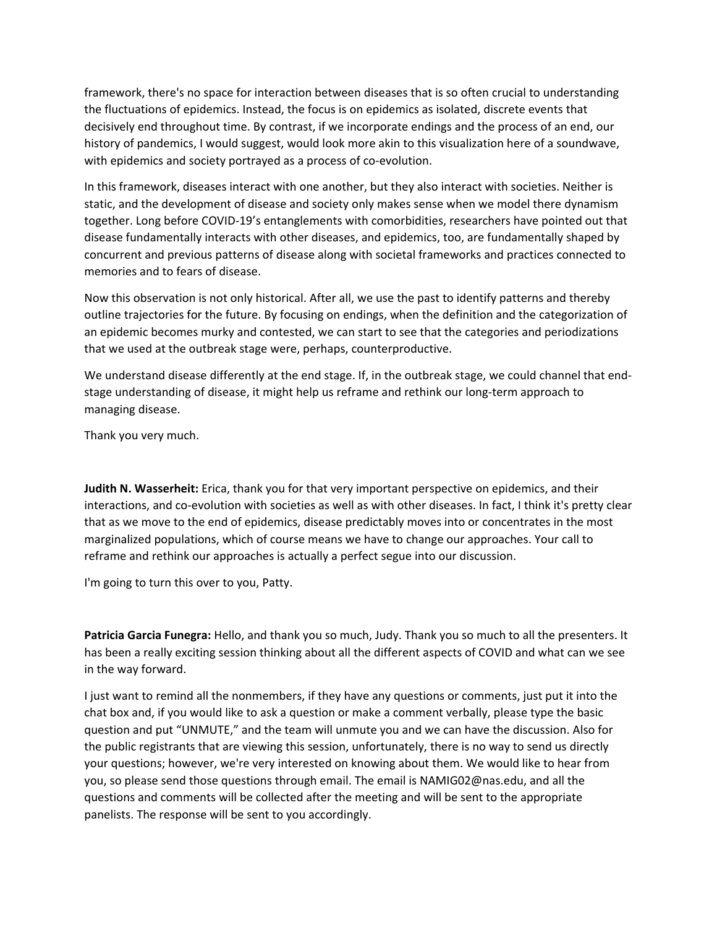framework, there's no space for interaction between diseases that is so often crucial to understanding the fluctuations of epidemics. Instead, the focus is on epidemics as isolated, discrete events that decisively end throughout time. By contrast, if we incorporate endings and the process of an end, our history of pandemics, I would suggest, would look more akin to this visualization here of a soundwave, with epidemics and society portrayed as a process of co-evolution.

In this framework, diseases interact with one another, but they also interact with societies. Neither is static, and the development of disease and society only makes sense when we model there dynamism together. Long before COVID‐19's entanglements with comorbidities, researchers have pointed out that disease fundamentally interacts with other diseases, and epidemics, too, are fundamentally shaped by concurrent and previous patterns of disease along with societal frameworks and practices connected to memories and to fears of disease.

Now this observation is not only historical. After all, we use the past to identify patterns and thereby outline trajectories for the future. By focusing on endings, when the definition and the categorization of an epidemic becomes murky and contested, we can start to see that the categories and periodizations that we used at the outbreak stage were, perhaps, counterproductive.

We understand disease differently at the end stage. If, in the outbreak stage, we could channel that end‐ stage understanding of disease, it might help us reframe and rethink our long-term approach to managing disease.

Thank you very much.

**Judith N. Wasserheit:** Erica, thank you for that very important perspective on epidemics, and their interactions, and co‐evolution with societies as well as with other diseases. In fact, I think it's pretty clear that as we move to the end of epidemics, disease predictably moves into or concentrates in the most marginalized populations, which of course means we have to change our approaches. Your call to reframe and rethink our approaches is actually a perfect segue into our discussion.

I'm going to turn this over to you, Patty.

**Patricia Garcia Funegra:** Hello, and thank you so much, Judy. Thank you so much to all the presenters. It has been a really exciting session thinking about all the different aspects of COVID and what can we see in the way forward.

I just want to remind all the nonmembers, if they have any questions or comments, just put it into the chat box and, if you would like to ask a question or make a comment verbally, please type the basic question and put "UNMUTE," and the team will unmute you and we can have the discussion. Also for the public registrants that are viewing this session, unfortunately, there is no way to send us directly your questions; however, we're very interested on knowing about them. We would like to hear from you, so please send those questions through email. The email is NAMIG02@nas.edu, and all the questions and comments will be collected after the meeting and will be sent to the appropriate panelists. The response will be sent to you accordingly.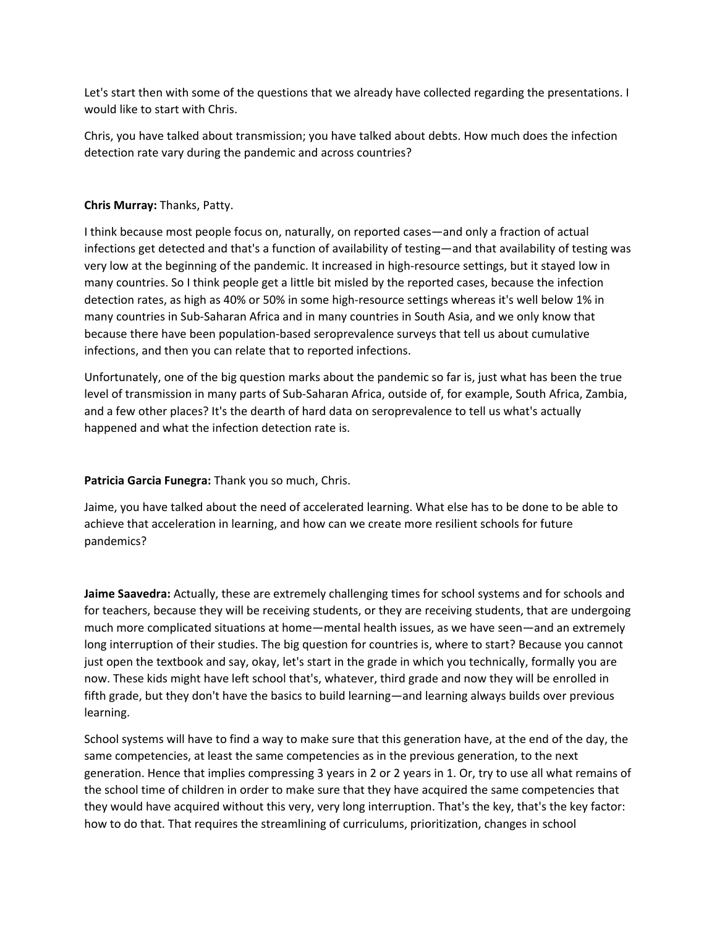Let's start then with some of the questions that we already have collected regarding the presentations. I would like to start with Chris.

Chris, you have talked about transmission; you have talked about debts. How much does the infection detection rate vary during the pandemic and across countries?

# **Chris Murray:** Thanks, Patty.

I think because most people focus on, naturally, on reported cases—and only a fraction of actual infections get detected and that's a function of availability of testing—and that availability of testing was very low at the beginning of the pandemic. It increased in high‐resource settings, but it stayed low in many countries. So I think people get a little bit misled by the reported cases, because the infection detection rates, as high as 40% or 50% in some high‐resource settings whereas it's well below 1% in many countries in Sub‐Saharan Africa and in many countries in South Asia, and we only know that because there have been population‐based seroprevalence surveys that tell us about cumulative infections, and then you can relate that to reported infections.

Unfortunately, one of the big question marks about the pandemic so far is, just what has been the true level of transmission in many parts of Sub‐Saharan Africa, outside of, for example, South Africa, Zambia, and a few other places? It's the dearth of hard data on seroprevalence to tell us what's actually happened and what the infection detection rate is.

## **Patricia Garcia Funegra:** Thank you so much, Chris.

Jaime, you have talked about the need of accelerated learning. What else has to be done to be able to achieve that acceleration in learning, and how can we create more resilient schools for future pandemics?

**Jaime Saavedra:** Actually, these are extremely challenging times for school systems and for schools and for teachers, because they will be receiving students, or they are receiving students, that are undergoing much more complicated situations at home—mental health issues, as we have seen—and an extremely long interruption of their studies. The big question for countries is, where to start? Because you cannot just open the textbook and say, okay, let's start in the grade in which you technically, formally you are now. These kids might have left school that's, whatever, third grade and now they will be enrolled in fifth grade, but they don't have the basics to build learning—and learning always builds over previous learning.

School systems will have to find a way to make sure that this generation have, at the end of the day, the same competencies, at least the same competencies as in the previous generation, to the next generation. Hence that implies compressing 3 years in 2 or 2 years in 1. Or, try to use all what remains of the school time of children in order to make sure that they have acquired the same competencies that they would have acquired without this very, very long interruption. That's the key, that's the key factor: how to do that. That requires the streamlining of curriculums, prioritization, changes in school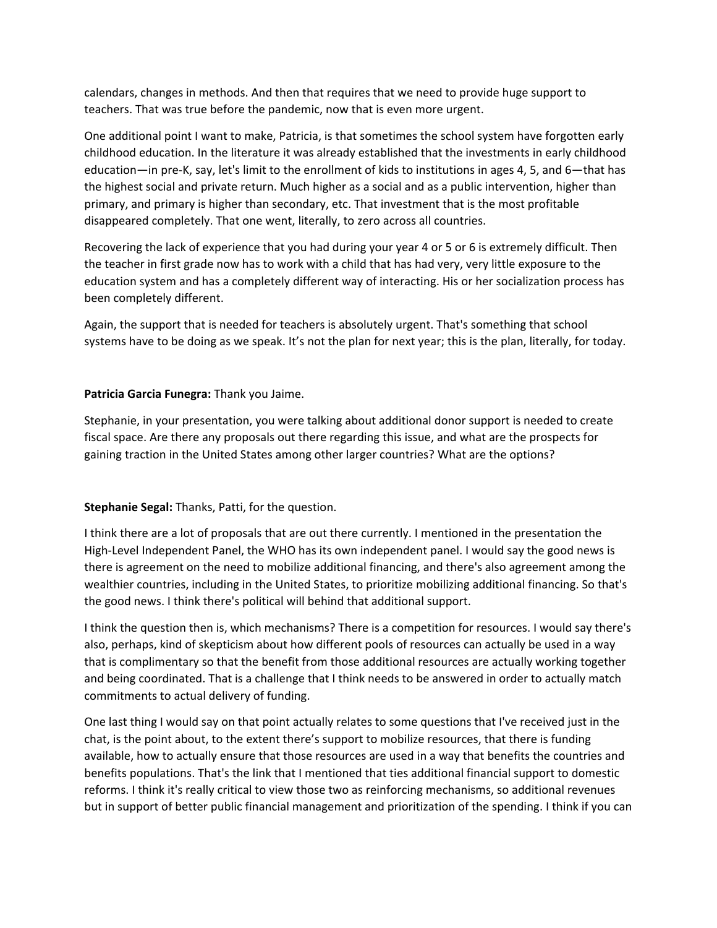calendars, changes in methods. And then that requires that we need to provide huge support to teachers. That was true before the pandemic, now that is even more urgent.

One additional point I want to make, Patricia, is that sometimes the school system have forgotten early childhood education. In the literature it was already established that the investments in early childhood education—in pre‐K, say, let's limit to the enrollment of kids to institutions in ages 4, 5, and 6—that has the highest social and private return. Much higher as a social and as a public intervention, higher than primary, and primary is higher than secondary, etc. That investment that is the most profitable disappeared completely. That one went, literally, to zero across all countries.

Recovering the lack of experience that you had during your year 4 or 5 or 6 is extremely difficult. Then the teacher in first grade now has to work with a child that has had very, very little exposure to the education system and has a completely different way of interacting. His or her socialization process has been completely different.

Again, the support that is needed for teachers is absolutely urgent. That's something that school systems have to be doing as we speak. It's not the plan for next year; this is the plan, literally, for today.

## **Patricia Garcia Funegra:** Thank you Jaime.

Stephanie, in your presentation, you were talking about additional donor support is needed to create fiscal space. Are there any proposals out there regarding this issue, and what are the prospects for gaining traction in the United States among other larger countries? What are the options?

## **Stephanie Segal:** Thanks, Patti, for the question.

I think there are a lot of proposals that are out there currently. I mentioned in the presentation the High-Level Independent Panel, the WHO has its own independent panel. I would say the good news is there is agreement on the need to mobilize additional financing, and there's also agreement among the wealthier countries, including in the United States, to prioritize mobilizing additional financing. So that's the good news. I think there's political will behind that additional support.

I think the question then is, which mechanisms? There is a competition for resources. I would say there's also, perhaps, kind of skepticism about how different pools of resources can actually be used in a way that is complimentary so that the benefit from those additional resources are actually working together and being coordinated. That is a challenge that I think needs to be answered in order to actually match commitments to actual delivery of funding.

One last thing I would say on that point actually relates to some questions that I've received just in the chat, is the point about, to the extent there's support to mobilize resources, that there is funding available, how to actually ensure that those resources are used in a way that benefits the countries and benefits populations. That's the link that I mentioned that ties additional financial support to domestic reforms. I think it's really critical to view those two as reinforcing mechanisms, so additional revenues but in support of better public financial management and prioritization of the spending. I think if you can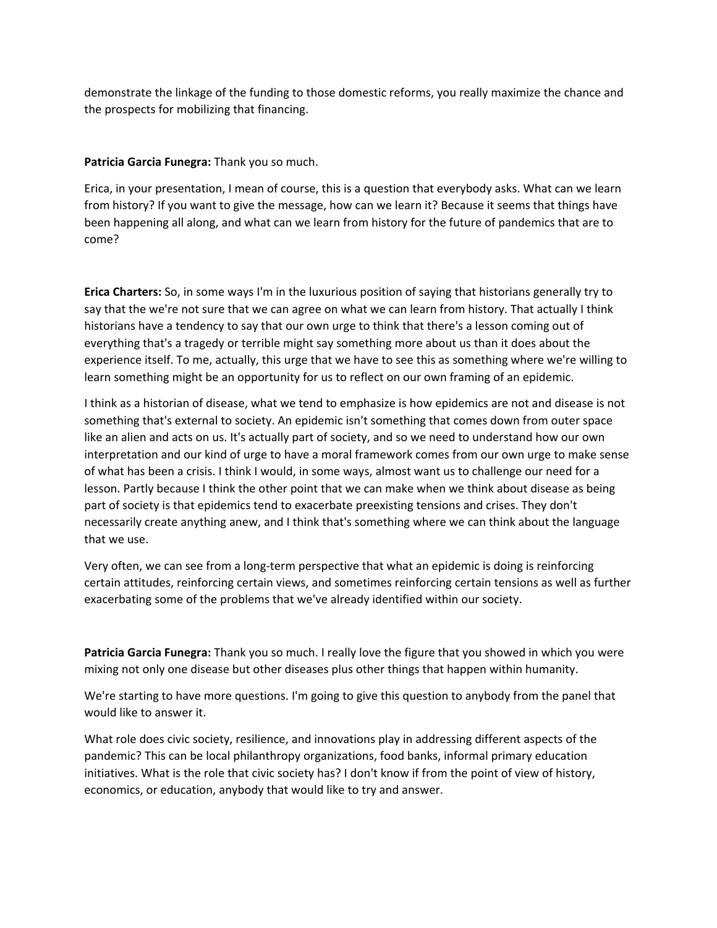demonstrate the linkage of the funding to those domestic reforms, you really maximize the chance and the prospects for mobilizing that financing.

**Patricia Garcia Funegra:** Thank you so much.

Erica, in your presentation, I mean of course, this is a question that everybody asks. What can we learn from history? If you want to give the message, how can we learn it? Because it seems that things have been happening all along, and what can we learn from history for the future of pandemics that are to come?

**Erica Charters:** So, in some ways I'm in the luxurious position of saying that historians generally try to say that the we're not sure that we can agree on what we can learn from history. That actually I think historians have a tendency to say that our own urge to think that there's a lesson coming out of everything that's a tragedy or terrible might say something more about us than it does about the experience itself. To me, actually, this urge that we have to see this as something where we're willing to learn something might be an opportunity for us to reflect on our own framing of an epidemic.

I think as a historian of disease, what we tend to emphasize is how epidemics are not and disease is not something that's external to society. An epidemic isn't something that comes down from outer space like an alien and acts on us. It's actually part of society, and so we need to understand how our own interpretation and our kind of urge to have a moral framework comes from our own urge to make sense of what has been a crisis. I think I would, in some ways, almost want us to challenge our need for a lesson. Partly because I think the other point that we can make when we think about disease as being part of society is that epidemics tend to exacerbate preexisting tensions and crises. They don't necessarily create anything anew, and I think that's something where we can think about the language that we use.

Very often, we can see from a long‐term perspective that what an epidemic is doing is reinforcing certain attitudes, reinforcing certain views, and sometimes reinforcing certain tensions as well as further exacerbating some of the problems that we've already identified within our society.

**Patricia Garcia Funegra:** Thank you so much. I really love the figure that you showed in which you were mixing not only one disease but other diseases plus other things that happen within humanity.

We're starting to have more questions. I'm going to give this question to anybody from the panel that would like to answer it.

What role does civic society, resilience, and innovations play in addressing different aspects of the pandemic? This can be local philanthropy organizations, food banks, informal primary education initiatives. What is the role that civic society has? I don't know if from the point of view of history, economics, or education, anybody that would like to try and answer.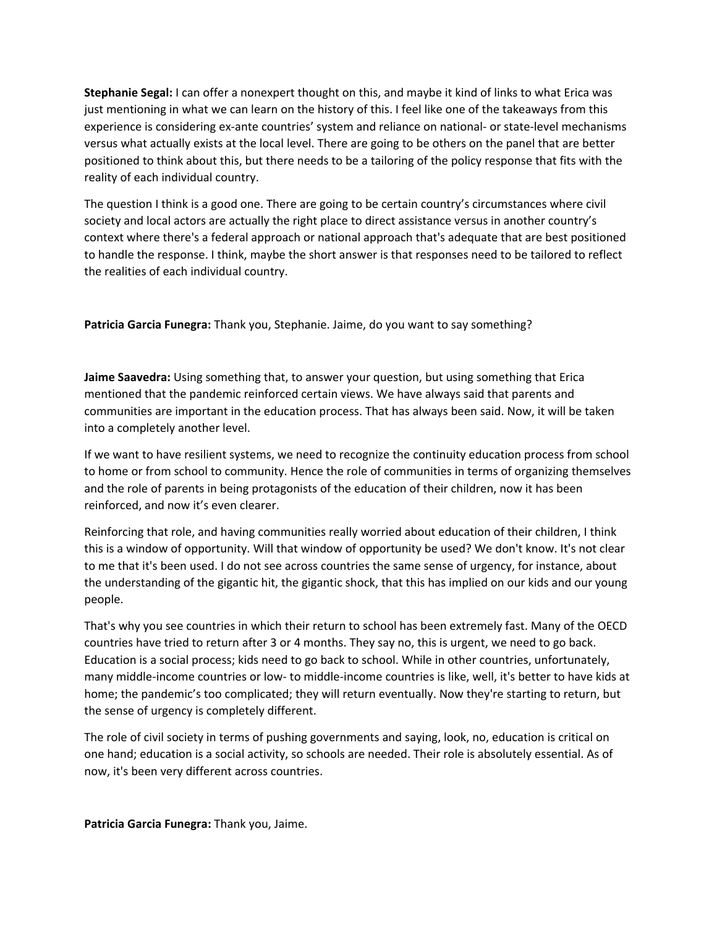**Stephanie Segal:** I can offer a nonexpert thought on this, and maybe it kind of links to what Erica was just mentioning in what we can learn on the history of this. I feel like one of the takeaways from this experience is considering ex‐ante countries' system and reliance on national‐ or state‐level mechanisms versus what actually exists at the local level. There are going to be others on the panel that are better positioned to think about this, but there needs to be a tailoring of the policy response that fits with the reality of each individual country.

The question I think is a good one. There are going to be certain country's circumstances where civil society and local actors are actually the right place to direct assistance versus in another country's context where there's a federal approach or national approach that's adequate that are best positioned to handle the response. I think, maybe the short answer is that responses need to be tailored to reflect the realities of each individual country.

**Patricia Garcia Funegra:** Thank you, Stephanie. Jaime, do you want to say something?

**Jaime Saavedra:** Using something that, to answer your question, but using something that Erica mentioned that the pandemic reinforced certain views. We have always said that parents and communities are important in the education process. That has always been said. Now, it will be taken into a completely another level.

If we want to have resilient systems, we need to recognize the continuity education process from school to home or from school to community. Hence the role of communities in terms of organizing themselves and the role of parents in being protagonists of the education of their children, now it has been reinforced, and now it's even clearer.

Reinforcing that role, and having communities really worried about education of their children, I think this is a window of opportunity. Will that window of opportunity be used? We don't know. It's not clear to me that it's been used. I do not see across countries the same sense of urgency, for instance, about the understanding of the gigantic hit, the gigantic shock, that this has implied on our kids and our young people.

That's why you see countries in which their return to school has been extremely fast. Many of the OECD countries have tried to return after 3 or 4 months. They say no, this is urgent, we need to go back. Education is a social process; kids need to go back to school. While in other countries, unfortunately, many middle‐income countries or low‐ to middle‐income countries is like, well, it's better to have kids at home; the pandemic's too complicated; they will return eventually. Now they're starting to return, but the sense of urgency is completely different.

The role of civil society in terms of pushing governments and saying, look, no, education is critical on one hand; education is a social activity, so schools are needed. Their role is absolutely essential. As of now, it's been very different across countries.

**Patricia Garcia Funegra:** Thank you, Jaime.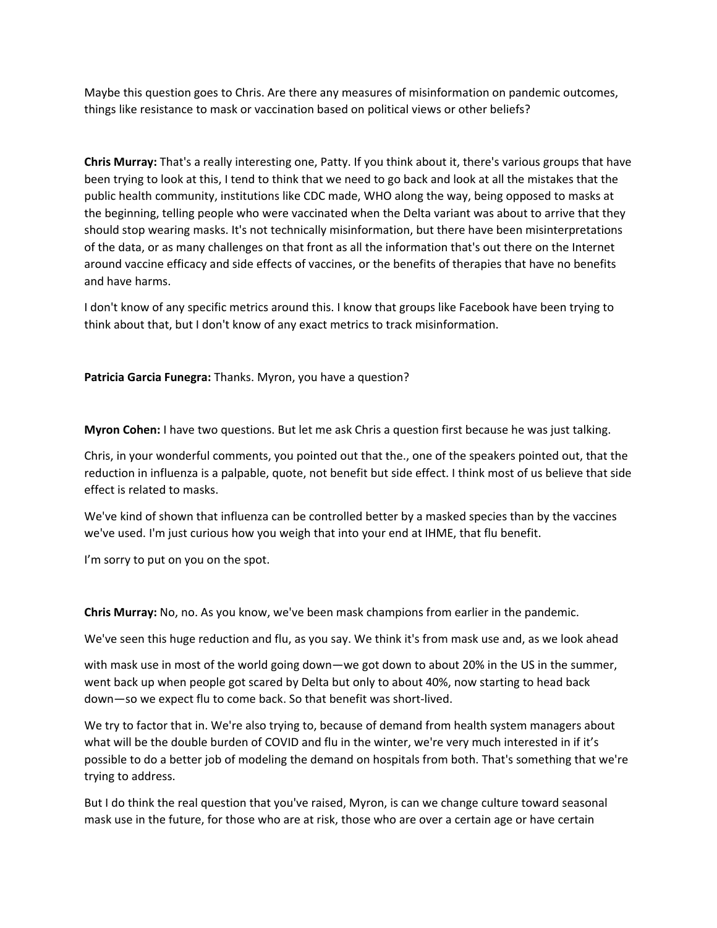Maybe this question goes to Chris. Are there any measures of misinformation on pandemic outcomes, things like resistance to mask or vaccination based on political views or other beliefs?

**Chris Murray:** That's a really interesting one, Patty. If you think about it, there's various groups that have been trying to look at this, I tend to think that we need to go back and look at all the mistakes that the public health community, institutions like CDC made, WHO along the way, being opposed to masks at the beginning, telling people who were vaccinated when the Delta variant was about to arrive that they should stop wearing masks. It's not technically misinformation, but there have been misinterpretations of the data, or as many challenges on that front as all the information that's out there on the Internet around vaccine efficacy and side effects of vaccines, or the benefits of therapies that have no benefits and have harms.

I don't know of any specific metrics around this. I know that groups like Facebook have been trying to think about that, but I don't know of any exact metrics to track misinformation.

**Patricia Garcia Funegra:** Thanks. Myron, you have a question?

**Myron Cohen:** I have two questions. But let me ask Chris a question first because he was just talking.

Chris, in your wonderful comments, you pointed out that the., one of the speakers pointed out, that the reduction in influenza is a palpable, quote, not benefit but side effect. I think most of us believe that side effect is related to masks.

We've kind of shown that influenza can be controlled better by a masked species than by the vaccines we've used. I'm just curious how you weigh that into your end at IHME, that flu benefit.

I'm sorry to put on you on the spot.

**Chris Murray:** No, no. As you know, we've been mask champions from earlier in the pandemic.

We've seen this huge reduction and flu, as you say. We think it's from mask use and, as we look ahead

with mask use in most of the world going down—we got down to about 20% in the US in the summer, went back up when people got scared by Delta but only to about 40%, now starting to head back down—so we expect flu to come back. So that benefit was short‐lived.

We try to factor that in. We're also trying to, because of demand from health system managers about what will be the double burden of COVID and flu in the winter, we're very much interested in if it's possible to do a better job of modeling the demand on hospitals from both. That's something that we're trying to address.

But I do think the real question that you've raised, Myron, is can we change culture toward seasonal mask use in the future, for those who are at risk, those who are over a certain age or have certain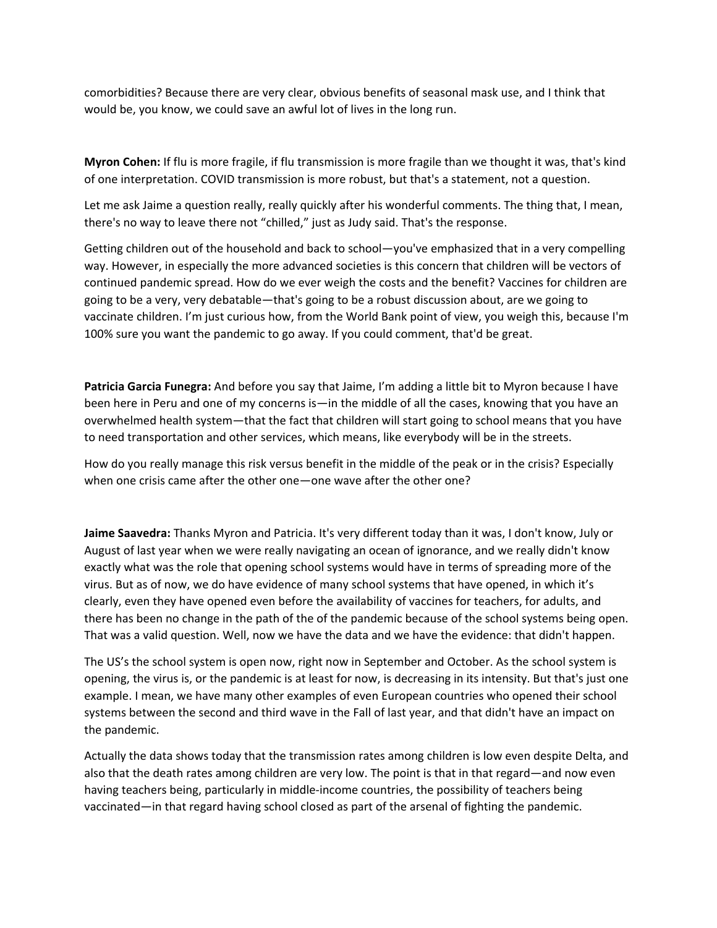comorbidities? Because there are very clear, obvious benefits of seasonal mask use, and I think that would be, you know, we could save an awful lot of lives in the long run.

**Myron Cohen:** If flu is more fragile, if flu transmission is more fragile than we thought it was, that's kind of one interpretation. COVID transmission is more robust, but that's a statement, not a question.

Let me ask Jaime a question really, really quickly after his wonderful comments. The thing that, I mean, there's no way to leave there not "chilled," just as Judy said. That's the response.

Getting children out of the household and back to school—you've emphasized that in a very compelling way. However, in especially the more advanced societies is this concern that children will be vectors of continued pandemic spread. How do we ever weigh the costs and the benefit? Vaccines for children are going to be a very, very debatable—that's going to be a robust discussion about, are we going to vaccinate children. I'm just curious how, from the World Bank point of view, you weigh this, because I'm 100% sure you want the pandemic to go away. If you could comment, that'd be great.

**Patricia Garcia Funegra:** And before you say that Jaime, I'm adding a little bit to Myron because I have been here in Peru and one of my concerns is—in the middle of all the cases, knowing that you have an overwhelmed health system—that the fact that children will start going to school means that you have to need transportation and other services, which means, like everybody will be in the streets.

How do you really manage this risk versus benefit in the middle of the peak or in the crisis? Especially when one crisis came after the other one—one wave after the other one?

**Jaime Saavedra:** Thanks Myron and Patricia. It's very different today than it was, I don't know, July or August of last year when we were really navigating an ocean of ignorance, and we really didn't know exactly what was the role that opening school systems would have in terms of spreading more of the virus. But as of now, we do have evidence of many school systems that have opened, in which it's clearly, even they have opened even before the availability of vaccines for teachers, for adults, and there has been no change in the path of the of the pandemic because of the school systems being open. That was a valid question. Well, now we have the data and we have the evidence: that didn't happen.

The US's the school system is open now, right now in September and October. As the school system is opening, the virus is, or the pandemic is at least for now, is decreasing in its intensity. But that's just one example. I mean, we have many other examples of even European countries who opened their school systems between the second and third wave in the Fall of last year, and that didn't have an impact on the pandemic.

Actually the data shows today that the transmission rates among children is low even despite Delta, and also that the death rates among children are very low. The point is that in that regard—and now even having teachers being, particularly in middle‐income countries, the possibility of teachers being vaccinated—in that regard having school closed as part of the arsenal of fighting the pandemic.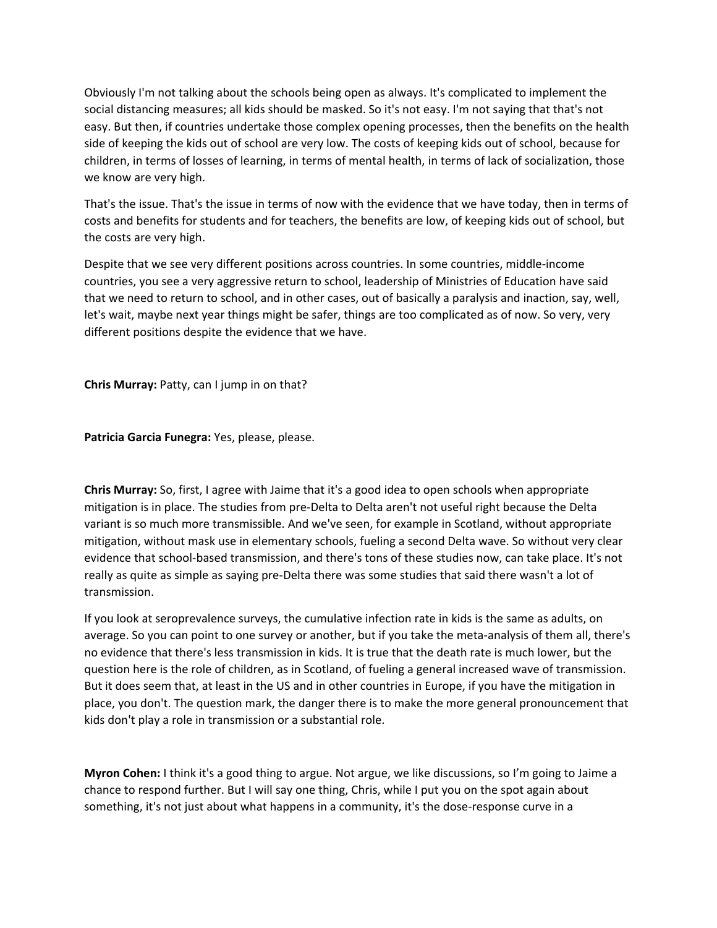Obviously I'm not talking about the schools being open as always. It's complicated to implement the social distancing measures; all kids should be masked. So it's not easy. I'm not saying that that's not easy. But then, if countries undertake those complex opening processes, then the benefits on the health side of keeping the kids out of school are very low. The costs of keeping kids out of school, because for children, in terms of losses of learning, in terms of mental health, in terms of lack of socialization, those we know are very high.

That's the issue. That's the issue in terms of now with the evidence that we have today, then in terms of costs and benefits for students and for teachers, the benefits are low, of keeping kids out of school, but the costs are very high.

Despite that we see very different positions across countries. In some countries, middle‐income countries, you see a very aggressive return to school, leadership of Ministries of Education have said that we need to return to school, and in other cases, out of basically a paralysis and inaction, say, well, let's wait, maybe next year things might be safer, things are too complicated as of now. So very, very different positions despite the evidence that we have.

**Chris Murray:** Patty, can I jump in on that?

**Patricia Garcia Funegra:** Yes, please, please.

**Chris Murray:** So, first, I agree with Jaime that it's a good idea to open schools when appropriate mitigation is in place. The studies from pre‐Delta to Delta aren't not useful right because the Delta variant is so much more transmissible. And we've seen, for example in Scotland, without appropriate mitigation, without mask use in elementary schools, fueling a second Delta wave. So without very clear evidence that school‐based transmission, and there's tons of these studies now, can take place. It's not really as quite as simple as saying pre‐Delta there was some studies that said there wasn't a lot of transmission.

If you look at seroprevalence surveys, the cumulative infection rate in kids is the same as adults, on average. So you can point to one survey or another, but if you take the meta‐analysis of them all, there's no evidence that there's less transmission in kids. It is true that the death rate is much lower, but the question here is the role of children, as in Scotland, of fueling a general increased wave of transmission. But it does seem that, at least in the US and in other countries in Europe, if you have the mitigation in place, you don't. The question mark, the danger there is to make the more general pronouncement that kids don't play a role in transmission or a substantial role.

**Myron Cohen:** I think it's a good thing to argue. Not argue, we like discussions, so I'm going to Jaime a chance to respond further. But I will say one thing, Chris, while I put you on the spot again about something, it's not just about what happens in a community, it's the dose-response curve in a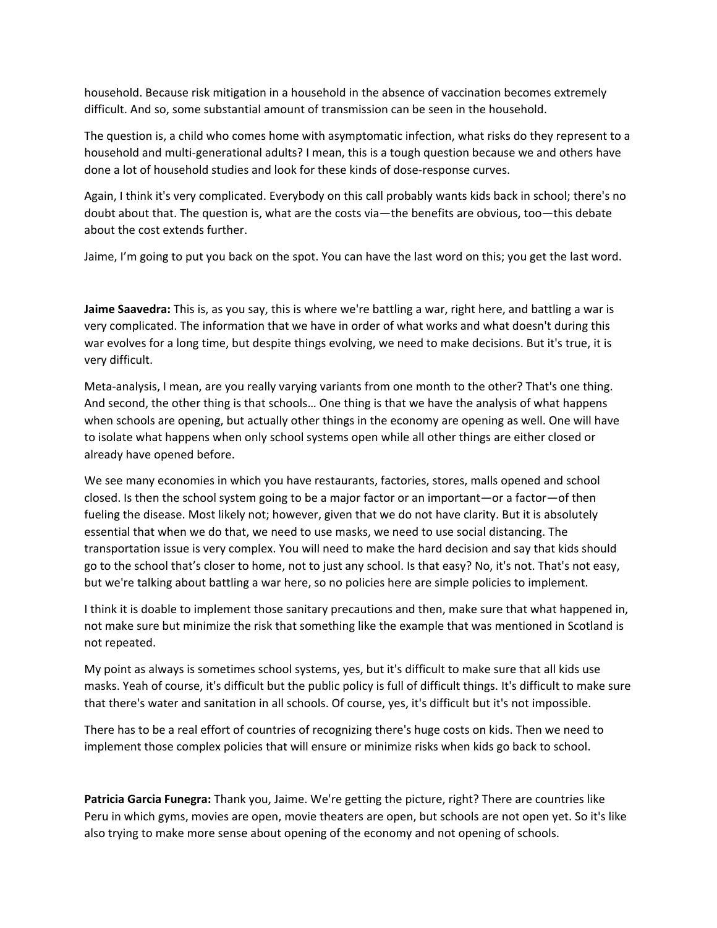household. Because risk mitigation in a household in the absence of vaccination becomes extremely difficult. And so, some substantial amount of transmission can be seen in the household.

The question is, a child who comes home with asymptomatic infection, what risks do they represent to a household and multi-generational adults? I mean, this is a tough question because we and others have done a lot of household studies and look for these kinds of dose‐response curves.

Again, I think it's very complicated. Everybody on this call probably wants kids back in school; there's no doubt about that. The question is, what are the costs via—the benefits are obvious, too—this debate about the cost extends further.

Jaime, I'm going to put you back on the spot. You can have the last word on this; you get the last word.

**Jaime Saavedra:** This is, as you say, this is where we're battling a war, right here, and battling a war is very complicated. The information that we have in order of what works and what doesn't during this war evolves for a long time, but despite things evolving, we need to make decisions. But it's true, it is very difficult.

Meta-analysis, I mean, are you really varying variants from one month to the other? That's one thing. And second, the other thing is that schools… One thing is that we have the analysis of what happens when schools are opening, but actually other things in the economy are opening as well. One will have to isolate what happens when only school systems open while all other things are either closed or already have opened before.

We see many economies in which you have restaurants, factories, stores, malls opened and school closed. Is then the school system going to be a major factor or an important—or a factor—of then fueling the disease. Most likely not; however, given that we do not have clarity. But it is absolutely essential that when we do that, we need to use masks, we need to use social distancing. The transportation issue is very complex. You will need to make the hard decision and say that kids should go to the school that's closer to home, not to just any school. Is that easy? No, it's not. That's not easy, but we're talking about battling a war here, so no policies here are simple policies to implement.

I think it is doable to implement those sanitary precautions and then, make sure that what happened in, not make sure but minimize the risk that something like the example that was mentioned in Scotland is not repeated.

My point as always is sometimes school systems, yes, but it's difficult to make sure that all kids use masks. Yeah of course, it's difficult but the public policy is full of difficult things. It's difficult to make sure that there's water and sanitation in all schools. Of course, yes, it's difficult but it's not impossible.

There has to be a real effort of countries of recognizing there's huge costs on kids. Then we need to implement those complex policies that will ensure or minimize risks when kids go back to school.

**Patricia Garcia Funegra:** Thank you, Jaime. We're getting the picture, right? There are countries like Peru in which gyms, movies are open, movie theaters are open, but schools are not open yet. So it's like also trying to make more sense about opening of the economy and not opening of schools.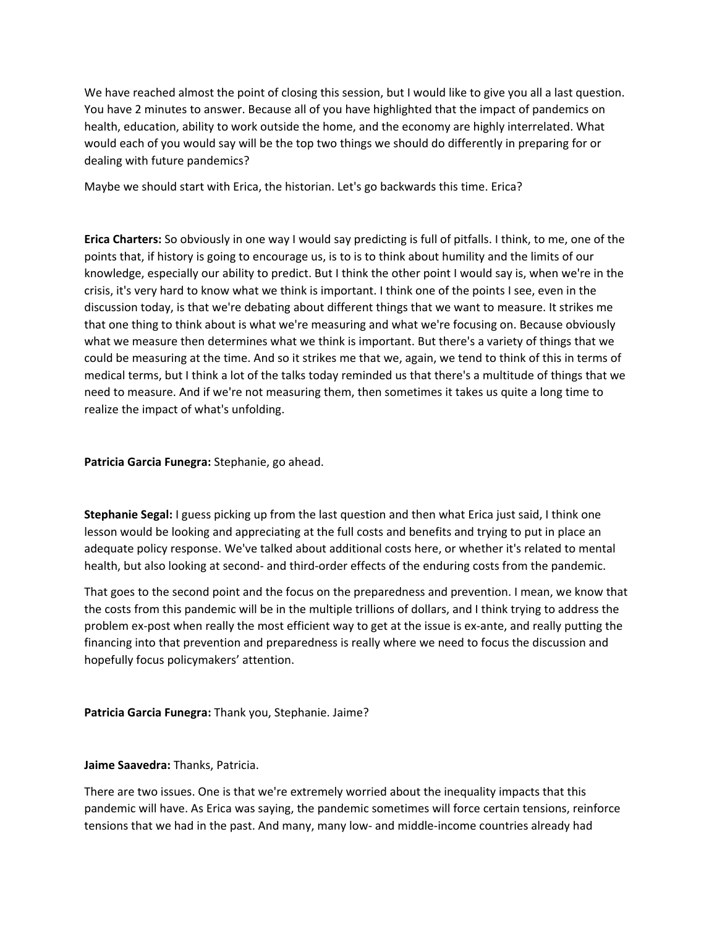We have reached almost the point of closing this session, but I would like to give you all a last question. You have 2 minutes to answer. Because all of you have highlighted that the impact of pandemics on health, education, ability to work outside the home, and the economy are highly interrelated. What would each of you would say will be the top two things we should do differently in preparing for or dealing with future pandemics?

Maybe we should start with Erica, the historian. Let's go backwards this time. Erica?

**Erica Charters:** So obviously in one way I would say predicting is full of pitfalls. I think, to me, one of the points that, if history is going to encourage us, is to is to think about humility and the limits of our knowledge, especially our ability to predict. But I think the other point I would say is, when we're in the crisis, it's very hard to know what we think is important. I think one of the points I see, even in the discussion today, is that we're debating about different things that we want to measure. It strikes me that one thing to think about is what we're measuring and what we're focusing on. Because obviously what we measure then determines what we think is important. But there's a variety of things that we could be measuring at the time. And so it strikes me that we, again, we tend to think of this in terms of medical terms, but I think a lot of the talks today reminded us that there's a multitude of things that we need to measure. And if we're not measuring them, then sometimes it takes us quite a long time to realize the impact of what's unfolding.

**Patricia Garcia Funegra:** Stephanie, go ahead.

**Stephanie Segal:** I guess picking up from the last question and then what Erica just said, I think one lesson would be looking and appreciating at the full costs and benefits and trying to put in place an adequate policy response. We've talked about additional costs here, or whether it's related to mental health, but also looking at second- and third-order effects of the enduring costs from the pandemic.

That goes to the second point and the focus on the preparedness and prevention. I mean, we know that the costs from this pandemic will be in the multiple trillions of dollars, and I think trying to address the problem ex‐post when really the most efficient way to get at the issue is ex‐ante, and really putting the financing into that prevention and preparedness is really where we need to focus the discussion and hopefully focus policymakers' attention.

**Patricia Garcia Funegra:** Thank you, Stephanie. Jaime?

## **Jaime Saavedra:** Thanks, Patricia.

There are two issues. One is that we're extremely worried about the inequality impacts that this pandemic will have. As Erica was saying, the pandemic sometimes will force certain tensions, reinforce tensions that we had in the past. And many, many low‐ and middle‐income countries already had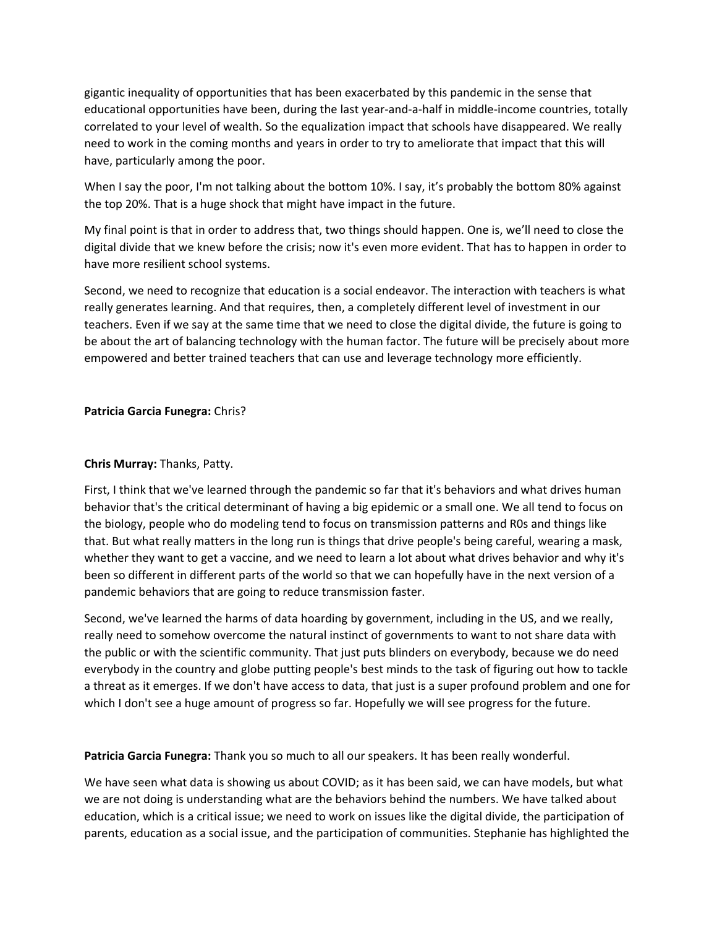gigantic inequality of opportunities that has been exacerbated by this pandemic in the sense that educational opportunities have been, during the last year‐and‐a‐half in middle‐income countries, totally correlated to your level of wealth. So the equalization impact that schools have disappeared. We really need to work in the coming months and years in order to try to ameliorate that impact that this will have, particularly among the poor.

When I say the poor, I'm not talking about the bottom 10%. I say, it's probably the bottom 80% against the top 20%. That is a huge shock that might have impact in the future.

My final point is that in order to address that, two things should happen. One is, we'll need to close the digital divide that we knew before the crisis; now it's even more evident. That has to happen in order to have more resilient school systems.

Second, we need to recognize that education is a social endeavor. The interaction with teachers is what really generates learning. And that requires, then, a completely different level of investment in our teachers. Even if we say at the same time that we need to close the digital divide, the future is going to be about the art of balancing technology with the human factor. The future will be precisely about more empowered and better trained teachers that can use and leverage technology more efficiently.

#### **Patricia Garcia Funegra:** Chris?

#### **Chris Murray:** Thanks, Patty.

First, I think that we've learned through the pandemic so far that it's behaviors and what drives human behavior that's the critical determinant of having a big epidemic or a small one. We all tend to focus on the biology, people who do modeling tend to focus on transmission patterns and R0s and things like that. But what really matters in the long run is things that drive people's being careful, wearing a mask, whether they want to get a vaccine, and we need to learn a lot about what drives behavior and why it's been so different in different parts of the world so that we can hopefully have in the next version of a pandemic behaviors that are going to reduce transmission faster.

Second, we've learned the harms of data hoarding by government, including in the US, and we really, really need to somehow overcome the natural instinct of governments to want to not share data with the public or with the scientific community. That just puts blinders on everybody, because we do need everybody in the country and globe putting people's best minds to the task of figuring out how to tackle a threat as it emerges. If we don't have access to data, that just is a super profound problem and one for which I don't see a huge amount of progress so far. Hopefully we will see progress for the future.

**Patricia Garcia Funegra:** Thank you so much to all our speakers. It has been really wonderful.

We have seen what data is showing us about COVID; as it has been said, we can have models, but what we are not doing is understanding what are the behaviors behind the numbers. We have talked about education, which is a critical issue; we need to work on issues like the digital divide, the participation of parents, education as a social issue, and the participation of communities. Stephanie has highlighted the